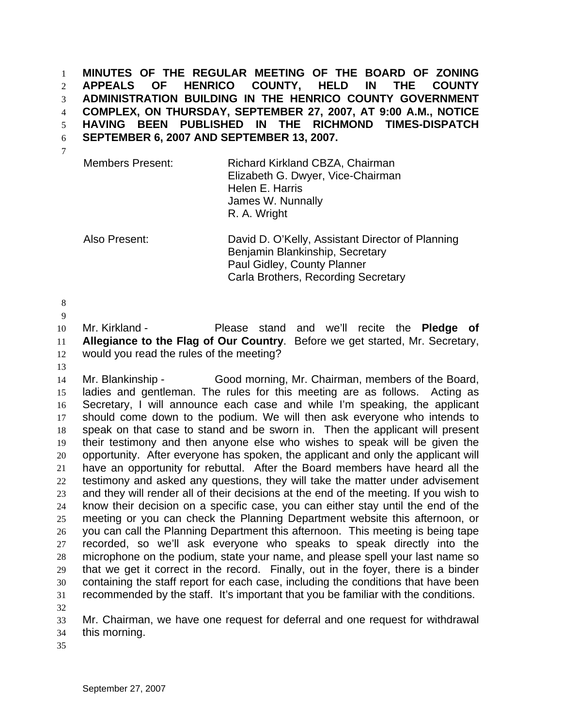1 2 3 4 5 6 7 **MINUTES OF THE REGULAR MEETING OF THE BOARD OF ZONING APPEALS OF HENRICO COUNTY, HELD IN THE COUNTY ADMINISTRATION BUILDING IN THE HENRICO COUNTY GOVERNMENT COMPLEX, ON THURSDAY, SEPTEMBER 27, 2007, AT 9:00 A.M., NOTICE HAVING BEEN PUBLISHED IN THE RICHMOND TIMES-DISPATCH SEPTEMBER 6, 2007 AND SEPTEMBER 13, 2007.** 

Members Present: Richard Kirkland CBZA, Chairman Elizabeth G. Dwyer, Vice-Chairman Helen E. Harris James W. Nunnally R. A. Wright

Also Present: David D. O'Kelly, Assistant Director of Planning Benjamin Blankinship, Secretary Paul Gidley, County Planner Carla Brothers, Recording Secretary

8

9

10 11 12 Mr. Kirkland - Please stand and we'll recite the **Pledge of Allegiance to the Flag of Our Country**. Before we get started, Mr. Secretary, would you read the rules of the meeting?

13

14 15 16 17 18 19 20 21 22 23 24 25 26 27 28 29 30 31 32 Mr. Blankinship - Good morning, Mr. Chairman, members of the Board, ladies and gentleman. The rules for this meeting are as follows. Acting as Secretary, I will announce each case and while I'm speaking, the applicant should come down to the podium. We will then ask everyone who intends to speak on that case to stand and be sworn in. Then the applicant will present their testimony and then anyone else who wishes to speak will be given the opportunity. After everyone has spoken, the applicant and only the applicant will have an opportunity for rebuttal. After the Board members have heard all the testimony and asked any questions, they will take the matter under advisement and they will render all of their decisions at the end of the meeting. If you wish to know their decision on a specific case, you can either stay until the end of the meeting or you can check the Planning Department website this afternoon, or you can call the Planning Department this afternoon. This meeting is being tape recorded, so we'll ask everyone who speaks to speak directly into the microphone on the podium, state your name, and please spell your last name so that we get it correct in the record. Finally, out in the foyer, there is a binder containing the staff report for each case, including the conditions that have been recommended by the staff. It's important that you be familiar with the conditions.

33 Mr. Chairman, we have one request for deferral and one request for withdrawal

34 this morning.

35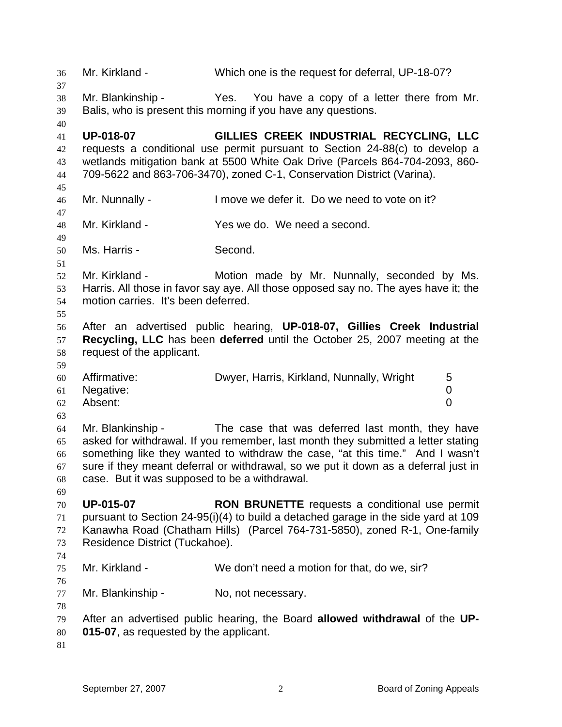36 37 38 39 40 41 42 43 44 45 46 47 48 49 50 51 52 53 54 55 56 57 58 59 60 61 62 63 64 65 66 67 68 69 70 71 72 73 74 75 76 77 78 79 80 81 Mr. Kirkland - Which one is the request for deferral, UP-18-07? Mr. Blankinship - Yes. You have a copy of a letter there from Mr. Balis, who is present this morning if you have any questions. **UP-018-07 GILLIES CREEK INDUSTRIAL RECYCLING, LLC**  requests a conditional use permit pursuant to Section 24-88(c) to develop a wetlands mitigation bank at 5500 White Oak Drive (Parcels 864-704-2093, 860- 709-5622 and 863-706-3470), zoned C-1, Conservation District (Varina). Mr. Nunnally - I move we defer it. Do we need to vote on it? Mr. Kirkland - The Yes we do. We need a second. Ms. Harris - Second. Mr. Kirkland - The Motion made by Mr. Nunnally, seconded by Ms. Harris. All those in favor say aye. All those opposed say no. The ayes have it; the motion carries. It's been deferred. After an advertised public hearing, **UP-018-07, Gillies Creek Industrial Recycling, LLC** has been **deferred** until the October 25, 2007 meeting at the request of the applicant. Affirmative: Dwyer, Harris, Kirkland, Nunnally, Wright 5 Negative: 0 Absent: 0 Mr. Blankinship - The case that was deferred last month, they have asked for withdrawal. If you remember, last month they submitted a letter stating something like they wanted to withdraw the case, "at this time." And I wasn't sure if they meant deferral or withdrawal, so we put it down as a deferral just in case. But it was supposed to be a withdrawal. **UP-015-07 RON BRUNETTE** requests a conditional use permit pursuant to Section 24-95(i)(4) to build a detached garage in the side yard at 109 Kanawha Road (Chatham Hills) (Parcel 764-731-5850), zoned R-1, One-family Residence District (Tuckahoe). Mr. Kirkland - We don't need a motion for that, do we, sir? Mr. Blankinship - No, not necessary. After an advertised public hearing, the Board **allowed withdrawal** of the **UP-015-07**, as requested by the applicant.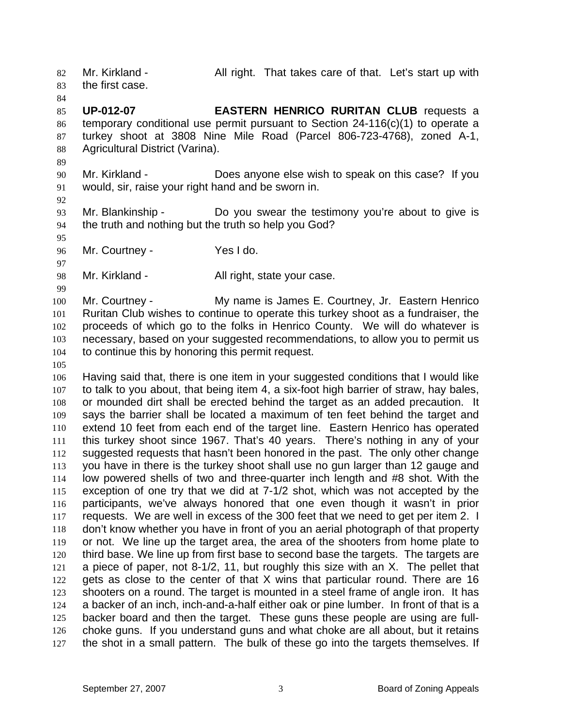82 83 Mr. Kirkland - All right. That takes care of that. Let's start up with the first case.

84

85 86 87 88 **UP-012-07 EASTERN HENRICO RURITAN CLUB** requests a temporary conditional use permit pursuant to Section 24-116(c)(1) to operate a turkey shoot at 3808 Nine Mile Road (Parcel 806-723-4768), zoned A-1, Agricultural District (Varina).

- 90 91 Mr. Kirkland - Does anyone else wish to speak on this case? If you would, sir, raise your right hand and be sworn in.
- 92

95

97

99

89

93 94 Mr. Blankinship - The Do you swear the testimony you're about to give is the truth and nothing but the truth so help you God?

96 Mr. Courtney - Yes I do.

98 Mr. Kirkland - **All right, state your case.** 

100 101 102 103 104 Mr. Courtney - My name is James E. Courtney, Jr. Eastern Henrico Ruritan Club wishes to continue to operate this turkey shoot as a fundraiser, the proceeds of which go to the folks in Henrico County. We will do whatever is necessary, based on your suggested recommendations, to allow you to permit us to continue this by honoring this permit request.

105

106 107 108 109 110 111 112 113 114 115 116 117 118 119 120 121 122 123 124 125 126 127 Having said that, there is one item in your suggested conditions that I would like to talk to you about, that being item 4, a six-foot high barrier of straw, hay bales, or mounded dirt shall be erected behind the target as an added precaution. It says the barrier shall be located a maximum of ten feet behind the target and extend 10 feet from each end of the target line. Eastern Henrico has operated this turkey shoot since 1967. That's 40 years. There's nothing in any of your suggested requests that hasn't been honored in the past. The only other change you have in there is the turkey shoot shall use no gun larger than 12 gauge and low powered shells of two and three-quarter inch length and #8 shot. With the exception of one try that we did at 7-1/2 shot, which was not accepted by the participants, we've always honored that one even though it wasn't in prior requests. We are well in excess of the 300 feet that we need to get per item 2. I don't know whether you have in front of you an aerial photograph of that property or not. We line up the target area, the area of the shooters from home plate to third base. We line up from first base to second base the targets. The targets are a piece of paper, not 8-1/2, 11, but roughly this size with an X. The pellet that gets as close to the center of that X wins that particular round. There are 16 shooters on a round. The target is mounted in a steel frame of angle iron. It has a backer of an inch, inch-and-a-half either oak or pine lumber. In front of that is a backer board and then the target. These guns these people are using are fullchoke guns. If you understand guns and what choke are all about, but it retains the shot in a small pattern. The bulk of these go into the targets themselves. If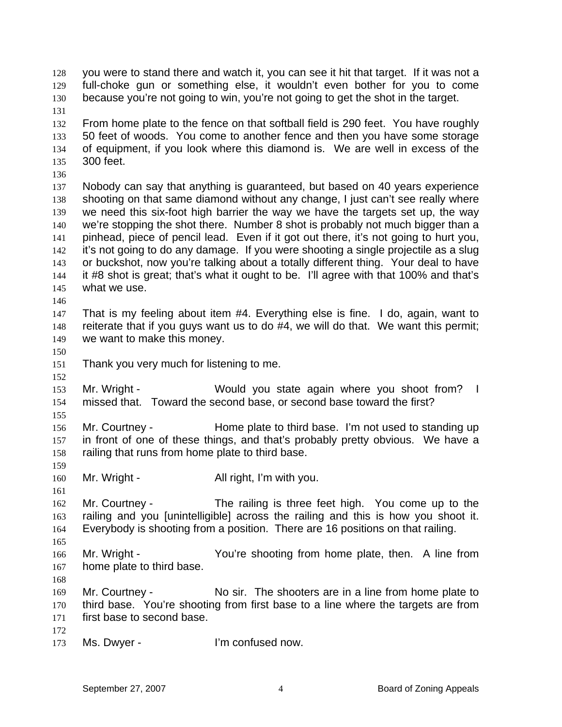128 129 130 you were to stand there and watch it, you can see it hit that target. If it was not a full-choke gun or something else, it wouldn't even bother for you to come because you're not going to win, you're not going to get the shot in the target.

- 131 132 133 134 135 From home plate to the fence on that softball field is 290 feet. You have roughly 50 feet of woods. You come to another fence and then you have some storage of equipment, if you look where this diamond is. We are well in excess of the 300 feet.
- 136

137 138 139 140 141 142 143 144 145 Nobody can say that anything is guaranteed, but based on 40 years experience shooting on that same diamond without any change, I just can't see really where we need this six-foot high barrier the way we have the targets set up, the way we're stopping the shot there. Number 8 shot is probably not much bigger than a pinhead, piece of pencil lead. Even if it got out there, it's not going to hurt you, it's not going to do any damage. If you were shooting a single projectile as a slug or buckshot, now you're talking about a totally different thing. Your deal to have it #8 shot is great; that's what it ought to be. I'll agree with that 100% and that's what we use.

147 148 149 That is my feeling about item #4. Everything else is fine. I do, again, want to reiterate that if you guys want us to do #4, we will do that. We want this permit; we want to make this money.

150

152

155

159

161

146

151 Thank you very much for listening to me.

153 154 Mr. Wright - Would you state again where you shoot from? I missed that. Toward the second base, or second base toward the first?

156 157 158 Mr. Courtney - Home plate to third base. I'm not used to standing up in front of one of these things, and that's probably pretty obvious. We have a railing that runs from home plate to third base.

160 Mr. Wright - All right, I'm with you.

162 163 164 Mr. Courtney - The railing is three feet high. You come up to the railing and you [unintelligible] across the railing and this is how you shoot it. Everybody is shooting from a position. There are 16 positions on that railing.

166 167 Mr. Wright - You're shooting from home plate, then. A line from home plate to third base.

168

165

169 170 171 Mr. Courtney - No sir. The shooters are in a line from home plate to third base. You're shooting from first base to a line where the targets are from first base to second base.

172

173 Ms. Dwyer - The Um confused now.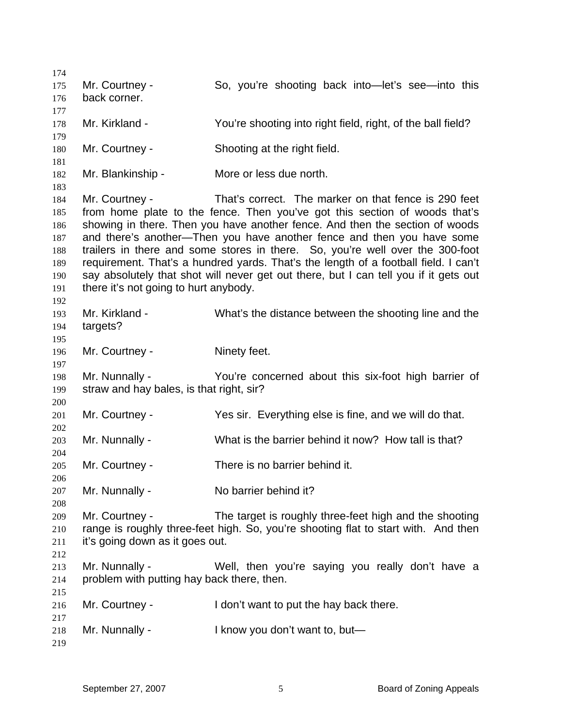Mr. Courtney - So, you're shooting back into—let's see—into this back corner. Mr. Kirkland - The You're shooting into right field, right, of the ball field? Mr. Courtney - Shooting at the right field. Mr. Blankinship - More or less due north. Mr. Courtney - That's correct. The marker on that fence is 290 feet from home plate to the fence. Then you've got this section of woods that's showing in there. Then you have another fence. And then the section of woods and there's another—Then you have another fence and then you have some trailers in there and some stores in there. So, you're well over the 300-foot requirement. That's a hundred yards. That's the length of a football field. I can't say absolutely that shot will never get out there, but I can tell you if it gets out there it's not going to hurt anybody. Mr. Kirkland - What's the distance between the shooting line and the targets? Mr. Courtney - Ninety feet. Mr. Nunnally - You're concerned about this six-foot high barrier of straw and hay bales, is that right, sir? Mr. Courtney - The Yes sir. Everything else is fine, and we will do that. Mr. Nunnally - What is the barrier behind it now? How tall is that? Mr. Courtney - There is no barrier behind it. Mr. Nunnally - No barrier behind it? Mr. Courtney - The target is roughly three-feet high and the shooting range is roughly three-feet high. So, you're shooting flat to start with. And then it's going down as it goes out. Mr. Nunnally - Well, then you're saying you really don't have a problem with putting hay back there, then. Mr. Courtney - I don't want to put the hay back there. Mr. Nunnally - I know you don't want to, but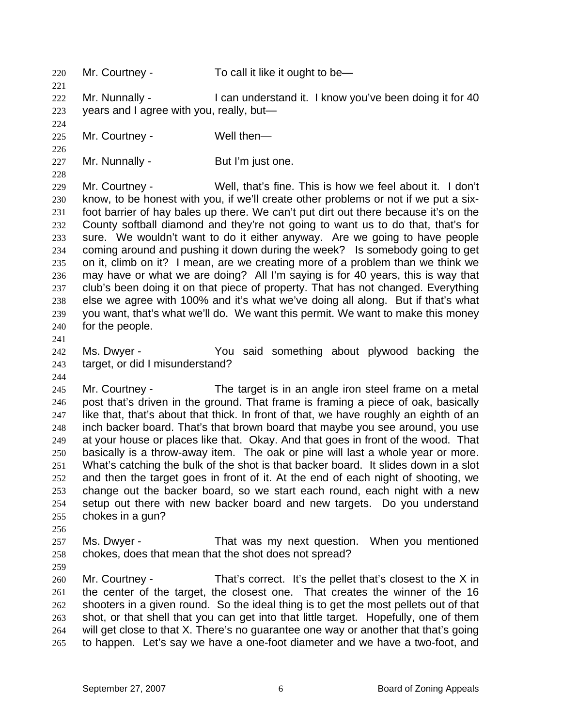220 221 222 223 224 225 226 227 228 229 230 231 232 233 234 235 236 237 238 239 240 241 242 243 244 245 246 247 248 249 250 251 252 253 254 255 256 257 258 259 260 261 262 263 264 265 Mr. Courtney - To call it like it ought to be— Mr. Nunnally - I can understand it. I know you've been doing it for 40 years and I agree with you, really, but— Mr. Courtney - Well then— Mr. Nunnally - But I'm just one. Mr. Courtney - Well, that's fine. This is how we feel about it. I don't know, to be honest with you, if we'll create other problems or not if we put a sixfoot barrier of hay bales up there. We can't put dirt out there because it's on the County softball diamond and they're not going to want us to do that, that's for sure. We wouldn't want to do it either anyway. Are we going to have people coming around and pushing it down during the week? Is somebody going to get on it, climb on it? I mean, are we creating more of a problem than we think we may have or what we are doing? All I'm saying is for 40 years, this is way that club's been doing it on that piece of property. That has not changed. Everything else we agree with 100% and it's what we've doing all along. But if that's what you want, that's what we'll do. We want this permit. We want to make this money for the people. Ms. Dwyer - You said something about plywood backing the target, or did I misunderstand? Mr. Courtney - The target is in an angle iron steel frame on a metal post that's driven in the ground. That frame is framing a piece of oak, basically like that, that's about that thick. In front of that, we have roughly an eighth of an inch backer board. That's that brown board that maybe you see around, you use at your house or places like that. Okay. And that goes in front of the wood. That basically is a throw-away item. The oak or pine will last a whole year or more. What's catching the bulk of the shot is that backer board. It slides down in a slot and then the target goes in front of it. At the end of each night of shooting, we change out the backer board, so we start each round, each night with a new setup out there with new backer board and new targets. Do you understand chokes in a gun? Ms. Dwyer - That was my next question. When you mentioned chokes, does that mean that the shot does not spread? Mr. Courtney - That's correct. It's the pellet that's closest to the X in the center of the target, the closest one. That creates the winner of the 16 shooters in a given round. So the ideal thing is to get the most pellets out of that shot, or that shell that you can get into that little target. Hopefully, one of them will get close to that X. There's no guarantee one way or another that that's going to happen. Let's say we have a one-foot diameter and we have a two-foot, and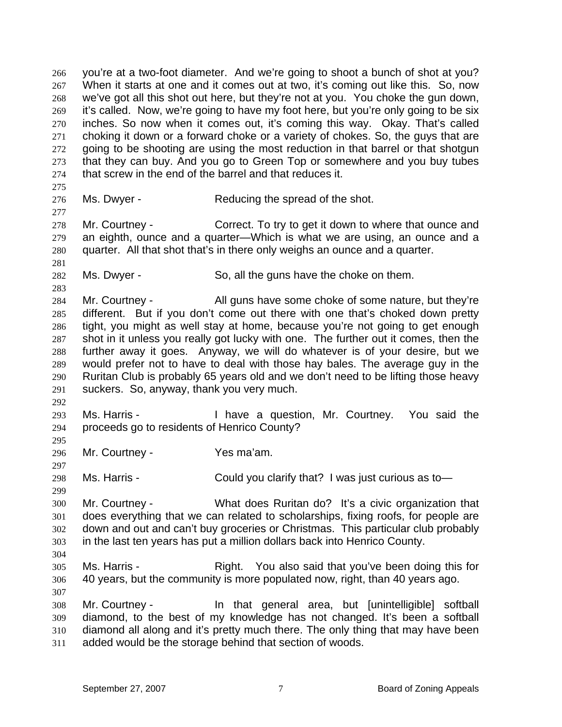266 267 268 269 270 271 272 273 274 275 276 277 278 279 280 281 282 283 284 285 286 287 288 289 290 291 292 293 294 295 296 297 298 299 300 301 302 303 304 305 306 307 308 309 310 311 you're at a two-foot diameter. And we're going to shoot a bunch of shot at you? When it starts at one and it comes out at two, it's coming out like this. So, now we've got all this shot out here, but they're not at you. You choke the gun down, it's called. Now, we're going to have my foot here, but you're only going to be six inches. So now when it comes out, it's coming this way. Okay. That's called choking it down or a forward choke or a variety of chokes. So, the guys that are going to be shooting are using the most reduction in that barrel or that shotgun that they can buy. And you go to Green Top or somewhere and you buy tubes that screw in the end of the barrel and that reduces it. Ms. Dwyer - Reducing the spread of the shot. Mr. Courtney - Correct. To try to get it down to where that ounce and an eighth, ounce and a quarter—Which is what we are using, an ounce and a quarter. All that shot that's in there only weighs an ounce and a quarter. Ms. Dwyer - So, all the guns have the choke on them. Mr. Courtney - All guns have some choke of some nature, but they're different. But if you don't come out there with one that's choked down pretty tight, you might as well stay at home, because you're not going to get enough shot in it unless you really got lucky with one. The further out it comes, then the further away it goes. Anyway, we will do whatever is of your desire, but we would prefer not to have to deal with those hay bales. The average guy in the Ruritan Club is probably 65 years old and we don't need to be lifting those heavy suckers. So, anyway, thank you very much. Ms. Harris - Thave a question, Mr. Courtney. You said the proceeds go to residents of Henrico County? Mr. Courtney - Yes ma'am. Ms. Harris - Could you clarify that? I was just curious as to-Mr. Courtney - What does Ruritan do? It's a civic organization that does everything that we can related to scholarships, fixing roofs, for people are down and out and can't buy groceries or Christmas. This particular club probably in the last ten years has put a million dollars back into Henrico County. Ms. Harris - The Right. You also said that you've been doing this for 40 years, but the community is more populated now, right, than 40 years ago. Mr. Courtney - The that general area, but [unintelligible] softball diamond, to the best of my knowledge has not changed. It's been a softball diamond all along and it's pretty much there. The only thing that may have been added would be the storage behind that section of woods.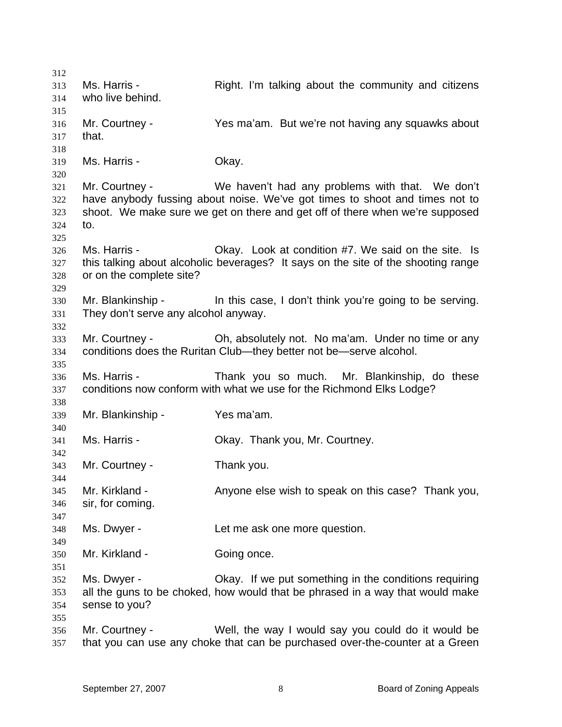312 313 314 315 316 317 318 319 320 321 322 323 324 325 326 327 328 329 330 331 332 333 334 335 336 337 338 339 340 341 342 343 344 345 346 347 348 349 350 351 352 353 354 355 356 357 Ms. Harris - The Right. I'm talking about the community and citizens who live behind. Mr. Courtney - Yes ma'am. But we're not having any squawks about that. Ms. Harris - Chay. Mr. Courtney - We haven't had any problems with that. We don't have anybody fussing about noise. We've got times to shoot and times not to shoot. We make sure we get on there and get off of there when we're supposed to. Ms. Harris - Okay. Look at condition #7. We said on the site. Is this talking about alcoholic beverages? It says on the site of the shooting range or on the complete site? Mr. Blankinship - In this case, I don't think you're going to be serving. They don't serve any alcohol anyway. Mr. Courtney - Ch, absolutely not. No ma'am. Under no time or any conditions does the Ruritan Club—they better not be—serve alcohol. Ms. Harris - Thank you so much. Mr. Blankinship, do these conditions now conform with what we use for the Richmond Elks Lodge? Mr. Blankinship - Yes ma'am. Ms. Harris - **Channel Communist Contract Contract Contract Contract Contract Contract Contract Contract Contract Contract Contract Contract Contract Contract Contract Contract Contract Contract Contract Contract Contract C** Mr. Courtney - Thank you. Mr. Kirkland - Anyone else wish to speak on this case? Thank you, sir, for coming. Ms. Dwyer - Let me ask one more question. Mr. Kirkland - Going once. Ms. Dwyer - Okay. If we put something in the conditions requiring all the guns to be choked, how would that be phrased in a way that would make sense to you? Mr. Courtney - Well, the way I would say you could do it would be that you can use any choke that can be purchased over-the-counter at a Green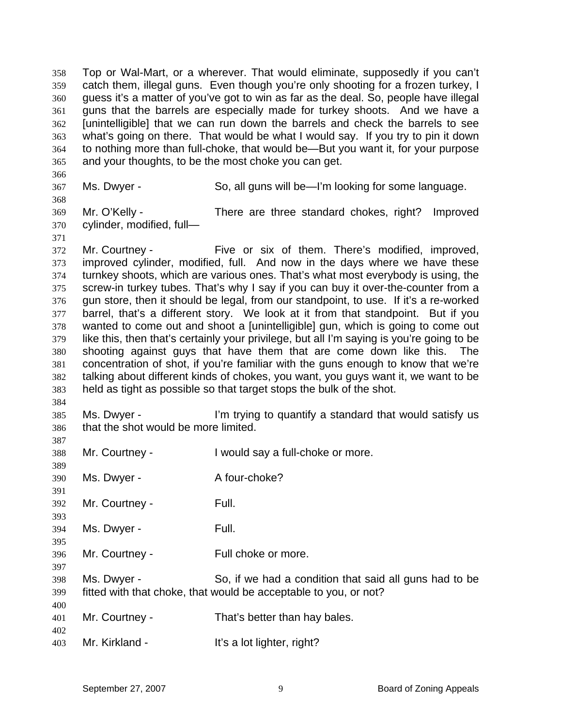358 359 360 361 362 363 364 365 Top or Wal-Mart, or a wherever. That would eliminate, supposedly if you can't catch them, illegal guns. Even though you're only shooting for a frozen turkey, I guess it's a matter of you've got to win as far as the deal. So, people have illegal guns that the barrels are especially made for turkey shoots. And we have a [unintelligible] that we can run down the barrels and check the barrels to see what's going on there. That would be what I would say. If you try to pin it down to nothing more than full-choke, that would be—But you want it, for your purpose and your thoughts, to be the most choke you can get.

366 367

Ms. Dwyer - So, all guns will be—I'm looking for some language.

369 370 Mr. O'Kelly - There are three standard chokes, right? Improved cylinder, modified, full—

371

368

372 373 374 375 376 377 378 379 380 381 382 383 Mr. Courtney - Five or six of them. There's modified, improved, improved cylinder, modified, full. And now in the days where we have these turnkey shoots, which are various ones. That's what most everybody is using, the screw-in turkey tubes. That's why I say if you can buy it over-the-counter from a gun store, then it should be legal, from our standpoint, to use. If it's a re-worked barrel, that's a different story. We look at it from that standpoint. But if you wanted to come out and shoot a [unintelligible] gun, which is going to come out like this, then that's certainly your privilege, but all I'm saying is you're going to be shooting against guys that have them that are come down like this. The concentration of shot, if you're familiar with the guns enough to know that we're talking about different kinds of chokes, you want, you guys want it, we want to be held as tight as possible so that target stops the bulk of the shot.

384

387 388

385 386 Ms. Dwyer - The I'm trying to quantify a standard that would satisfy us that the shot would be more limited.

389 390 391 392 393 394 395 396 397 398 399 400 Mr. Courtney - I would say a full-choke or more. Ms. Dwyer - A four-choke? Mr. Courtney - Full. Ms. Dwyer - The Full. Mr. Courtney - Full choke or more. Ms. Dwyer - So, if we had a condition that said all guns had to be fitted with that choke, that would be acceptable to you, or not?

401 402 Mr. Courtney - That's better than hay bales.

403 Mr. Kirkland - It's a lot lighter, right?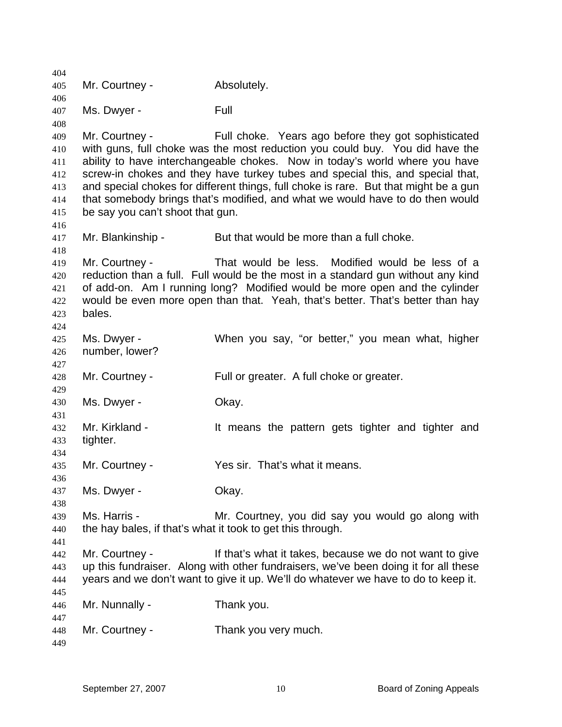404 405 406 407 408 409 410 411 412 413 414 415 416 417 418 419 420 421 422 423 424 425 426 427 428 429 430 431 432 433 434 435 436 437 438 439 440 441 442 443 444 445 446 447 448 449 Mr. Courtney - Absolutely. Ms. Dwyer - The Full Mr. Courtney - Full choke. Years ago before they got sophisticated with guns, full choke was the most reduction you could buy. You did have the ability to have interchangeable chokes. Now in today's world where you have screw-in chokes and they have turkey tubes and special this, and special that, and special chokes for different things, full choke is rare. But that might be a gun that somebody brings that's modified, and what we would have to do then would be say you can't shoot that gun. Mr. Blankinship - But that would be more than a full choke. Mr. Courtney - That would be less. Modified would be less of a reduction than a full. Full would be the most in a standard gun without any kind of add-on. Am I running long? Modified would be more open and the cylinder would be even more open than that. Yeah, that's better. That's better than hay bales. Ms. Dwyer - When you say, "or better," you mean what, higher number, lower? Mr. Courtney - Full or greater. A full choke or greater. Ms. Dwyer - Chay. Mr. Kirkland - It means the pattern gets tighter and tighter and tighter. Mr. Courtney - The Yes sir. That's what it means. Ms. Dwyer - Chay. Ms. Harris - Mr. Courtney, you did say you would go along with the hay bales, if that's what it took to get this through. Mr. Courtney - The Muslim of that's what it takes, because we do not want to give up this fundraiser. Along with other fundraisers, we've been doing it for all these years and we don't want to give it up. We'll do whatever we have to do to keep it. Mr. Nunnally - Thank you. Mr. Courtney - Thank you very much.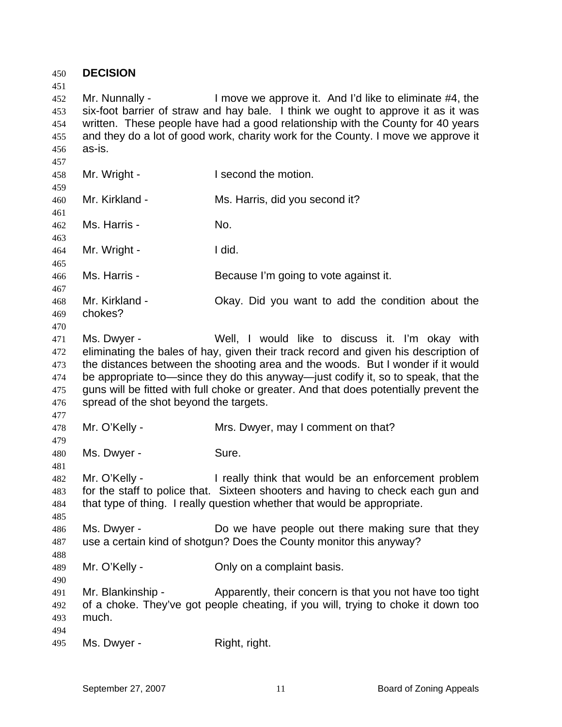| 450<br>451                                    | <b>DECISION</b>                                       |                                                                                                                                                                                                                                                                                                                                                                                                         |
|-----------------------------------------------|-------------------------------------------------------|---------------------------------------------------------------------------------------------------------------------------------------------------------------------------------------------------------------------------------------------------------------------------------------------------------------------------------------------------------------------------------------------------------|
| 452<br>453                                    | Mr. Nunnally -                                        | I move we approve it. And I'd like to eliminate #4, the<br>six-foot barrier of straw and hay bale. I think we ought to approve it as it was<br>written. These people have had a good relationship with the County for 40 years                                                                                                                                                                          |
| 454<br>455<br>456                             | as-is.                                                | and they do a lot of good work, charity work for the County. I move we approve it                                                                                                                                                                                                                                                                                                                       |
| 457<br>458<br>459                             | Mr. Wright -                                          | I second the motion.                                                                                                                                                                                                                                                                                                                                                                                    |
| 460<br>461                                    | Mr. Kirkland -                                        | Ms. Harris, did you second it?                                                                                                                                                                                                                                                                                                                                                                          |
| 462<br>463                                    | Ms. Harris -                                          | No.                                                                                                                                                                                                                                                                                                                                                                                                     |
| 464<br>465                                    | Mr. Wright -                                          | I did.                                                                                                                                                                                                                                                                                                                                                                                                  |
| 466<br>467                                    | Ms. Harris -                                          | Because I'm going to vote against it.                                                                                                                                                                                                                                                                                                                                                                   |
| 468<br>469<br>470                             | Mr. Kirkland -<br>chokes?                             | Okay. Did you want to add the condition about the                                                                                                                                                                                                                                                                                                                                                       |
| 471<br>472<br>473<br>474<br>475<br>476<br>477 | Ms. Dwyer -<br>spread of the shot beyond the targets. | Well, I would like to discuss it. I'm okay with<br>eliminating the bales of hay, given their track record and given his description of<br>the distances between the shooting area and the woods. But I wonder if it would<br>be appropriate to—since they do this anyway—just codify it, so to speak, that the<br>guns will be fitted with full choke or greater. And that does potentially prevent the |
| 478<br>479                                    | Mr. O'Kelly -                                         | Mrs. Dwyer, may I comment on that?                                                                                                                                                                                                                                                                                                                                                                      |
| 480<br>481                                    | Ms. Dwyer -                                           | Sure.                                                                                                                                                                                                                                                                                                                                                                                                   |
| 482<br>483<br>484<br>485                      | Mr. O'Kelly -                                         | I really think that would be an enforcement problem<br>for the staff to police that. Sixteen shooters and having to check each gun and<br>that type of thing. I really question whether that would be appropriate.                                                                                                                                                                                      |
| 486<br>487<br>488                             | Ms. Dwyer -                                           | Do we have people out there making sure that they<br>use a certain kind of shotgun? Does the County monitor this anyway?                                                                                                                                                                                                                                                                                |
| 489<br>490                                    | Mr. O'Kelly -                                         | Only on a complaint basis.                                                                                                                                                                                                                                                                                                                                                                              |
| 491<br>492<br>493<br>494                      | Mr. Blankinship -<br>much.                            | Apparently, their concern is that you not have too tight<br>of a choke. They've got people cheating, if you will, trying to choke it down too                                                                                                                                                                                                                                                           |
| 495                                           | Ms. Dwyer -                                           | Right, right.                                                                                                                                                                                                                                                                                                                                                                                           |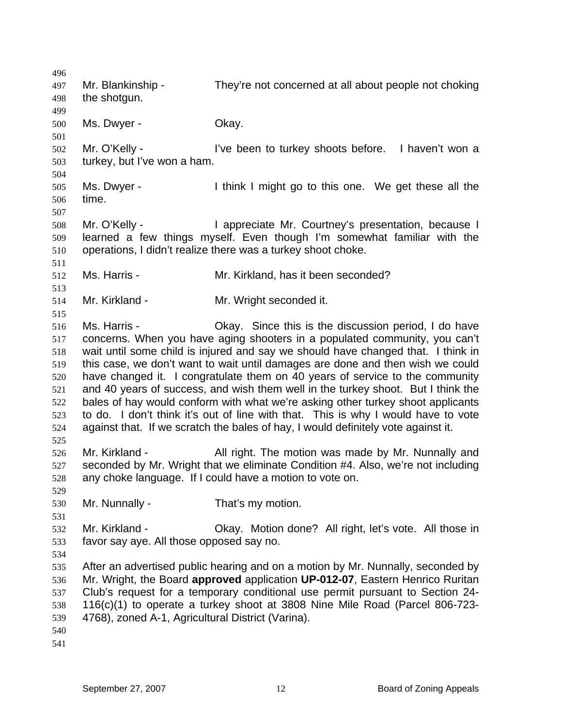496 497 498 499 500 501 502 503 504 505 506 507 508 509 510 511 512 513 514 515 516 517 518 519 520 521 522 523 524 525 526 527 528 529 530 531 532 533 534 535 536 537 538 539 540 541 Mr. Blankinship - They're not concerned at all about people not choking the shotgun. Ms. Dwyer - Chay. Mr. O'Kelly - I've been to turkey shoots before. I haven't won a turkey, but I've won a ham. Ms. Dwyer - I think I might go to this one. We get these all the time. Mr. O'Kelly - I appreciate Mr. Courtney's presentation, because I learned a few things myself. Even though I'm somewhat familiar with the operations, I didn't realize there was a turkey shoot choke. Ms. Harris - The Mr. Kirkland, has it been seconded? Mr. Kirkland - **Mr. Wright seconded it.** Ms. Harris - Okay. Since this is the discussion period, I do have concerns. When you have aging shooters in a populated community, you can't wait until some child is injured and say we should have changed that. I think in this case, we don't want to wait until damages are done and then wish we could have changed it. I congratulate them on 40 years of service to the community and 40 years of success, and wish them well in the turkey shoot. But I think the bales of hay would conform with what we're asking other turkey shoot applicants to do. I don't think it's out of line with that. This is why I would have to vote against that. If we scratch the bales of hay, I would definitely vote against it. Mr. Kirkland - **All right.** The motion was made by Mr. Nunnally and seconded by Mr. Wright that we eliminate Condition #4. Also, we're not including any choke language. If I could have a motion to vote on. Mr. Nunnally - That's my motion. Mr. Kirkland - Chay. Motion done? All right, let's vote. All those in favor say aye. All those opposed say no. After an advertised public hearing and on a motion by Mr. Nunnally, seconded by Mr. Wright, the Board **approved** application **UP-012-07**, Eastern Henrico Ruritan Club's request for a temporary conditional use permit pursuant to Section 24- 116(c)(1) to operate a turkey shoot at 3808 Nine Mile Road (Parcel 806-723- 4768), zoned A-1, Agricultural District (Varina).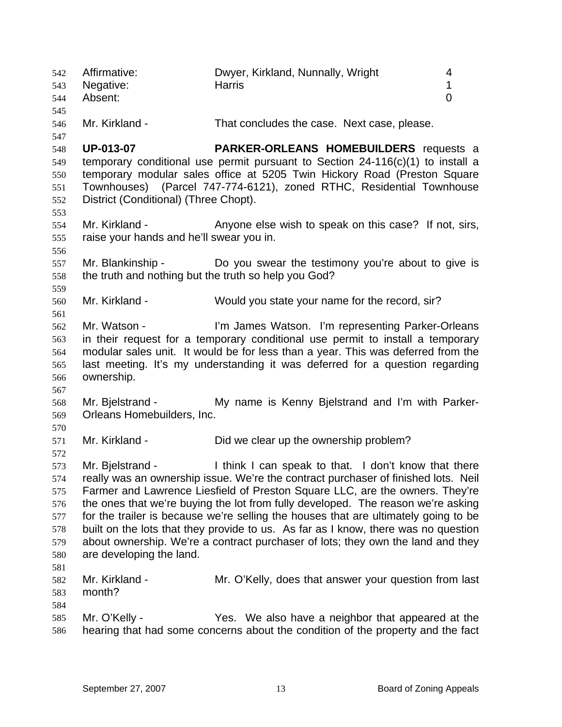542 543 544 545 546 547 548 549 550 551 552 553 554 555 556 557 558 559 560 561 562 563 564 565 566 567 568 569 570 571 572 573 574 575 576 577 578 579 580 581 582 583 584 585 586 Affirmative: Dwyer, Kirkland, Nunnally, Wright 4 Negative: the Harris the Harris 1 and 1 and 1 and 1 and 1 and 1 and 1 and 1 and 1 and 1 and 1 and 1 and 1 and 1 and 1 and 1 and 1 and 1 and 1 and 1 and 1 and 1 and 1 and 1 and 1 and 1 and 1 and 1 and 1 and 1 and 1 and 1 an Absent: 0 Mr. Kirkland - That concludes the case. Next case, please. **UP-013-07 PARKER-ORLEANS HOMEBUILDERS** requests a temporary conditional use permit pursuant to Section 24-116(c)(1) to install a temporary modular sales office at 5205 Twin Hickory Road (Preston Square Townhouses) (Parcel 747-774-6121), zoned RTHC, Residential Townhouse District (Conditional) (Three Chopt). Mr. Kirkland - The Anyone else wish to speak on this case? If not, sirs, raise your hands and he'll swear you in. Mr. Blankinship - The Do you swear the testimony you're about to give is the truth and nothing but the truth so help you God? Mr. Kirkland - Would you state your name for the record, sir? Mr. Watson - I'm James Watson. I'm representing Parker-Orleans in their request for a temporary conditional use permit to install a temporary modular sales unit. It would be for less than a year. This was deferred from the last meeting. It's my understanding it was deferred for a question regarding ownership. Mr. Bielstrand - The My name is Kenny Bielstrand and I'm with Parker-Orleans Homebuilders, Inc. Mr. Kirkland - Did we clear up the ownership problem? Mr. Bielstrand - Think I can speak to that. I don't know that there really was an ownership issue. We're the contract purchaser of finished lots. Neil Farmer and Lawrence Liesfield of Preston Square LLC, are the owners. They're the ones that we're buying the lot from fully developed. The reason we're asking for the trailer is because we're selling the houses that are ultimately going to be built on the lots that they provide to us. As far as I know, there was no question about ownership. We're a contract purchaser of lots; they own the land and they are developing the land. Mr. Kirkland - The Mr. O'Kelly, does that answer your question from last month? Mr. O'Kelly - Yes. We also have a neighbor that appeared at the hearing that had some concerns about the condition of the property and the fact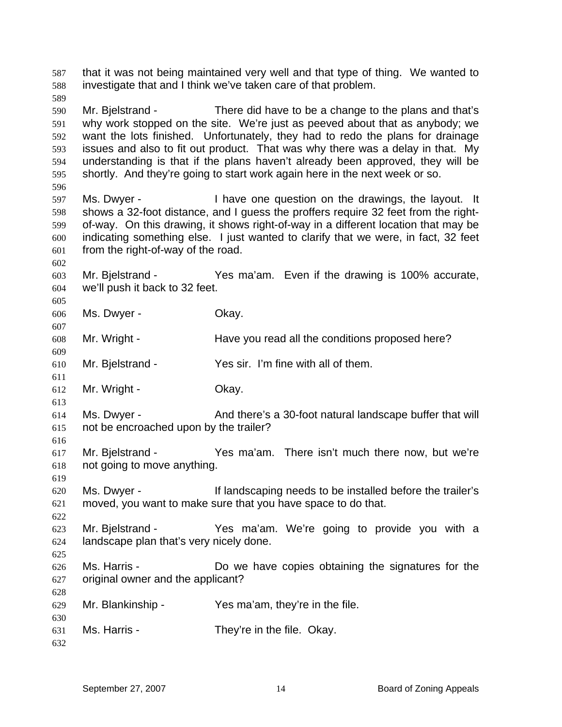587 588 589 590 591 592 593 594 595 596 597 598 599 600 601 602 603 604 605 606 607 608 609 610 611 612 613 614 615 616 617 618 619 620 621 622 623 624 625 626 627 628 629 630 631 632 that it was not being maintained very well and that type of thing. We wanted to investigate that and I think we've taken care of that problem. Mr. Bielstrand - There did have to be a change to the plans and that's why work stopped on the site. We're just as peeved about that as anybody; we want the lots finished. Unfortunately, they had to redo the plans for drainage issues and also to fit out product. That was why there was a delay in that. My understanding is that if the plans haven't already been approved, they will be shortly. And they're going to start work again here in the next week or so. Ms. Dwyer - I have one question on the drawings, the layout. It shows a 32-foot distance, and I guess the proffers require 32 feet from the rightof-way. On this drawing, it shows right-of-way in a different location that may be indicating something else. I just wanted to clarify that we were, in fact, 32 feet from the right-of-way of the road. Mr. Bjelstrand - Yes ma'am. Even if the drawing is 100% accurate, we'll push it back to 32 feet. Ms. Dwyer - Chay. Mr. Wright - Have you read all the conditions proposed here? Mr. Bjelstrand - Yes sir. I'm fine with all of them. Mr. Wright - Chay. Ms. Dwyer - And there's a 30-foot natural landscape buffer that will not be encroached upon by the trailer? Mr. Bjelstrand - Yes ma'am. There isn't much there now, but we're not going to move anything. Ms. Dwyer - The If landscaping needs to be installed before the trailer's moved, you want to make sure that you have space to do that. Mr. Bjelstrand - The Yes ma'am. We're going to provide you with a landscape plan that's very nicely done. Ms. Harris - The Mortown Do we have copies obtaining the signatures for the original owner and the applicant? Mr. Blankinship - Yes ma'am, they're in the file. Ms. Harris - They're in the file. Okay.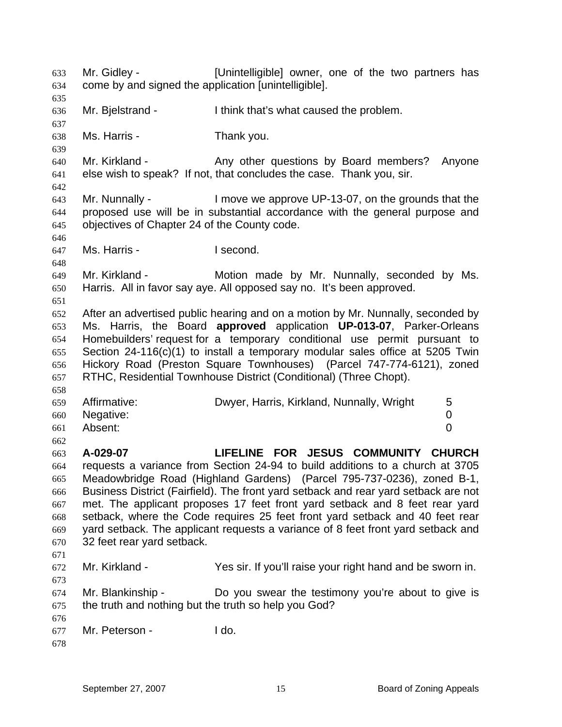633 634 635 636 637 638 639 640 641 642 643 644 645 646 647 648 649 650 651 652 653 654 655 656 657 658 659 660 661 662 663 664 665 666 667 668 669 670 671 672 673 674 675 676 677 678 Mr. Gidley - [Unintelligible] owner, one of the two partners has come by and signed the application [unintelligible]. Mr. Bjelstrand - Think that's what caused the problem. Ms. Harris - Thank you. Mr. Kirkland - The Any other questions by Board members? Anyone else wish to speak? If not, that concludes the case. Thank you, sir. Mr. Nunnally - I move we approve UP-13-07, on the grounds that the proposed use will be in substantial accordance with the general purpose and objectives of Chapter 24 of the County code. Ms. Harris - I second. Mr. Kirkland - Motion made by Mr. Nunnally, seconded by Ms. Harris. All in favor say aye. All opposed say no. It's been approved. After an advertised public hearing and on a motion by Mr. Nunnally, seconded by Ms. Harris, the Board **approved** application **UP-013-07**, Parker-Orleans Homebuilders' request for a temporary conditional use permit pursuant to Section 24-116(c)(1) to install a temporary modular sales office at 5205 Twin Hickory Road (Preston Square Townhouses) (Parcel 747-774-6121), zoned RTHC, Residential Townhouse District (Conditional) (Three Chopt). Affirmative: **Dwyer, Harris, Kirkland, Nunnally, Wright** 5 Negative: 0 Absent: 0 **A-029-07 LIFELINE FOR JESUS COMMUNITY CHURCH**  requests a variance from Section 24-94 to build additions to a church at 3705 Meadowbridge Road (Highland Gardens) (Parcel 795-737-0236), zoned B-1, Business District (Fairfield). The front yard setback and rear yard setback are not met. The applicant proposes 17 feet front yard setback and 8 feet rear yard setback, where the Code requires 25 feet front yard setback and 40 feet rear yard setback. The applicant requests a variance of 8 feet front yard setback and 32 feet rear yard setback. Mr. Kirkland - Yes sir. If you'll raise your right hand and be sworn in. Mr. Blankinship - Do you swear the testimony you're about to give is the truth and nothing but the truth so help you God? Mr. Peterson - I do.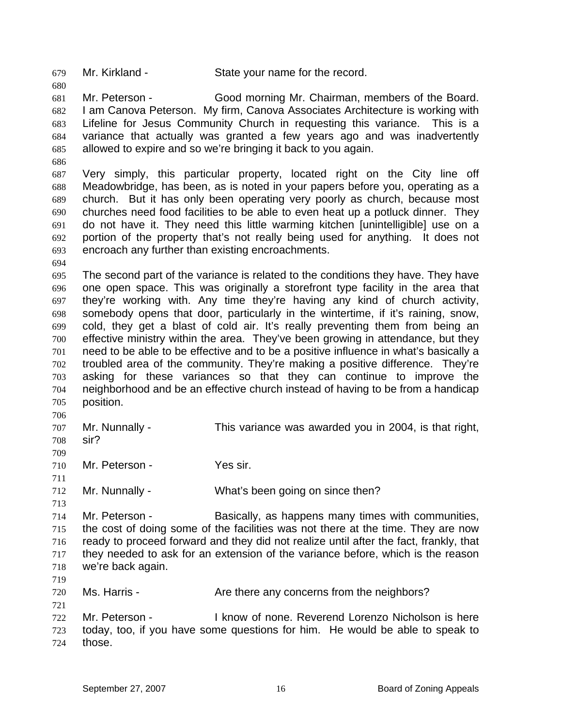679 Mr. Kirkland - State your name for the record.

681 682 683 684 685 Mr. Peterson - Good morning Mr. Chairman, members of the Board. I am Canova Peterson. My firm, Canova Associates Architecture is working with Lifeline for Jesus Community Church in requesting this variance. This is a variance that actually was granted a few years ago and was inadvertently allowed to expire and so we're bringing it back to you again.

686

680

687 688 689 690 691 692 693 Very simply, this particular property, located right on the City line off Meadowbridge, has been, as is noted in your papers before you, operating as a church. But it has only been operating very poorly as church, because most churches need food facilities to be able to even heat up a potluck dinner. They do not have it. They need this little warming kitchen [unintelligible] use on a portion of the property that's not really being used for anything. It does not encroach any further than existing encroachments.

694

695 696 697 698 699 700 701 702 703 704 705 The second part of the variance is related to the conditions they have. They have one open space. This was originally a storefront type facility in the area that they're working with. Any time they're having any kind of church activity, somebody opens that door, particularly in the wintertime, if it's raining, snow, cold, they get a blast of cold air. It's really preventing them from being an effective ministry within the area. They've been growing in attendance, but they need to be able to be effective and to be a positive influence in what's basically a troubled area of the community. They're making a positive difference. They're asking for these variances so that they can continue to improve the neighborhood and be an effective church instead of having to be from a handicap position.

706 707 708 709 710 711 712 713 Mr. Nunnally - This variance was awarded you in 2004, is that right, sir? Mr. Peterson - Yes sir. Mr. Nunnally - What's been going on since then?

714 715 716 717 718 Mr. Peterson - Basically, as happens many times with communities, the cost of doing some of the facilities was not there at the time. They are now ready to proceed forward and they did not realize until after the fact, frankly, that they needed to ask for an extension of the variance before, which is the reason we're back again.

719 720

721

Ms. Harris - The Are there any concerns from the neighbors?

722 723 724 Mr. Peterson - I know of none. Reverend Lorenzo Nicholson is here today, too, if you have some questions for him. He would be able to speak to those.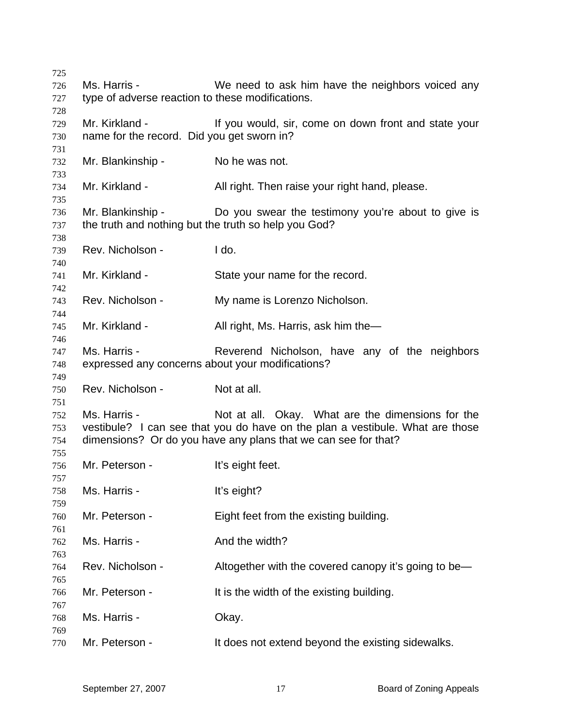| 725        |                                                                           |                                                                                                                                                 |
|------------|---------------------------------------------------------------------------|-------------------------------------------------------------------------------------------------------------------------------------------------|
| 726        | Ms. Harris -                                                              | We need to ask him have the neighbors voiced any                                                                                                |
| 727        | type of adverse reaction to these modifications.                          |                                                                                                                                                 |
| 728<br>729 | Mr. Kirkland -                                                            | If you would, sir, come on down front and state your                                                                                            |
| 730        | name for the record. Did you get sworn in?                                |                                                                                                                                                 |
| 731        |                                                                           |                                                                                                                                                 |
| 732<br>733 | Mr. Blankinship -                                                         | No he was not.                                                                                                                                  |
| 734<br>735 | Mr. Kirkland -                                                            | All right. Then raise your right hand, please.                                                                                                  |
| 736<br>737 | Mr. Blankinship -<br>the truth and nothing but the truth so help you God? | Do you swear the testimony you're about to give is                                                                                              |
| 738<br>739 | Rev. Nicholson -                                                          | I do.                                                                                                                                           |
| 740        |                                                                           |                                                                                                                                                 |
| 741<br>742 | Mr. Kirkland -                                                            | State your name for the record.                                                                                                                 |
| 743        | Rev. Nicholson -                                                          | My name is Lorenzo Nicholson.                                                                                                                   |
| 744<br>745 | Mr. Kirkland -                                                            | All right, Ms. Harris, ask him the—                                                                                                             |
| 746        |                                                                           |                                                                                                                                                 |
| 747        | Ms. Harris -                                                              | Reverend Nicholson, have any of the neighbors                                                                                                   |
| 748        | expressed any concerns about your modifications?                          |                                                                                                                                                 |
| 749        |                                                                           |                                                                                                                                                 |
| 750        | Rev. Nicholson -                                                          | Not at all.                                                                                                                                     |
| 751<br>752 | Ms. Harris -                                                              | Not at all. Okay. What are the dimensions for the                                                                                               |
| 753<br>754 |                                                                           | vestibule? I can see that you do have on the plan a vestibule. What are those<br>dimensions? Or do you have any plans that we can see for that? |
| 755        |                                                                           |                                                                                                                                                 |
| 756        | Mr. Peterson -                                                            | It's eight feet.                                                                                                                                |
| 757<br>758 | Ms. Harris -                                                              | It's eight?                                                                                                                                     |
| 759        |                                                                           |                                                                                                                                                 |
| 760        | Mr. Peterson -                                                            | Eight feet from the existing building.                                                                                                          |
| 761        |                                                                           |                                                                                                                                                 |
| 762<br>763 | Ms. Harris -                                                              | And the width?                                                                                                                                  |
| 764        | Rev. Nicholson -                                                          | Altogether with the covered canopy it's going to be—                                                                                            |
| 765<br>766 | Mr. Peterson -                                                            | It is the width of the existing building.                                                                                                       |
| 767<br>768 | Ms. Harris -                                                              | Okay.                                                                                                                                           |
| 769<br>770 | Mr. Peterson -                                                            | It does not extend beyond the existing sidewalks.                                                                                               |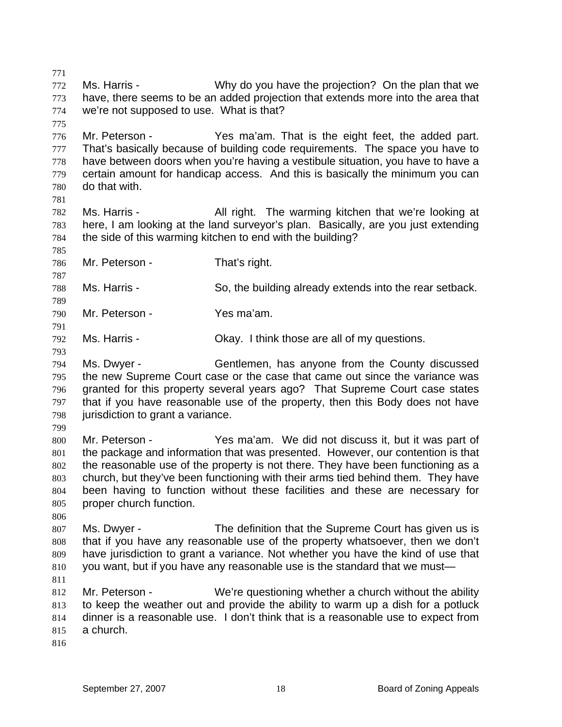771 772 773 774 775 776 777 778 779 780 781 782 783 784 785 786 787 788 789 790 791 792 793 794 795 796 797 798 799 800 801 802 803 804 805 806 807 808 809 810 811 812 813 814 815 816 Ms. Harris - Why do you have the projection? On the plan that we have, there seems to be an added projection that extends more into the area that we're not supposed to use. What is that? Mr. Peterson - The Yes ma'am. That is the eight feet, the added part. That's basically because of building code requirements. The space you have to have between doors when you're having a vestibule situation, you have to have a certain amount for handicap access. And this is basically the minimum you can do that with. Ms. Harris - All right. The warming kitchen that we're looking at here, I am looking at the land surveyor's plan. Basically, are you just extending the side of this warming kitchen to end with the building? Mr. Peterson - That's right. Ms. Harris - So, the building already extends into the rear setback. Mr. Peterson - Yes ma'am. Ms. Harris - Ckay. I think those are all of my questions. Ms. Dwyer - Gentlemen, has anyone from the County discussed the new Supreme Court case or the case that came out since the variance was granted for this property several years ago? That Supreme Court case states that if you have reasonable use of the property, then this Body does not have jurisdiction to grant a variance. Mr. Peterson - The Yes ma'am. We did not discuss it, but it was part of the package and information that was presented. However, our contention is that the reasonable use of the property is not there. They have been functioning as a church, but they've been functioning with their arms tied behind them. They have been having to function without these facilities and these are necessary for proper church function. Ms. Dwyer - The definition that the Supreme Court has given us is that if you have any reasonable use of the property whatsoever, then we don't have jurisdiction to grant a variance. Not whether you have the kind of use that you want, but if you have any reasonable use is the standard that we must— Mr. Peterson - We're questioning whether a church without the ability to keep the weather out and provide the ability to warm up a dish for a potluck dinner is a reasonable use. I don't think that is a reasonable use to expect from a church.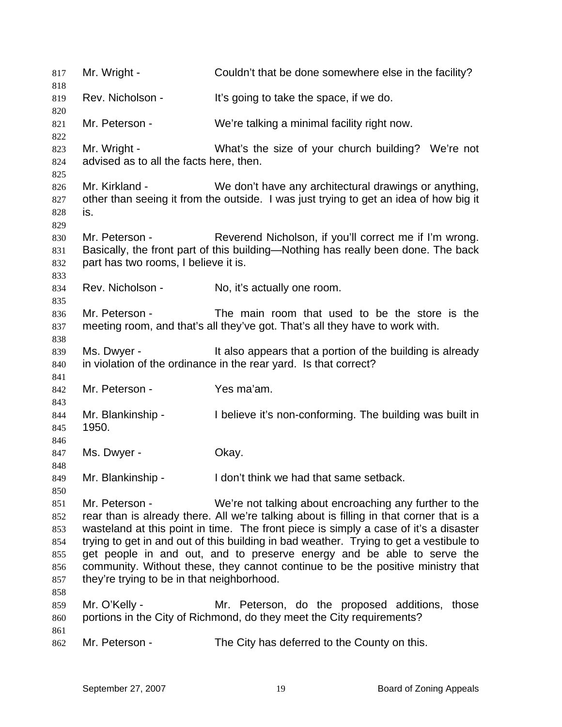| 817<br>818                                                  | Mr. Wright -                                                                                                                                                                                                                                                                                                                                                                                                                                                                                                                                                     | Couldn't that be done somewhere else in the facility?                                                                                          |
|-------------------------------------------------------------|------------------------------------------------------------------------------------------------------------------------------------------------------------------------------------------------------------------------------------------------------------------------------------------------------------------------------------------------------------------------------------------------------------------------------------------------------------------------------------------------------------------------------------------------------------------|------------------------------------------------------------------------------------------------------------------------------------------------|
| 819                                                         | Rev. Nicholson -                                                                                                                                                                                                                                                                                                                                                                                                                                                                                                                                                 | It's going to take the space, if we do.                                                                                                        |
| 820<br>821                                                  | Mr. Peterson -                                                                                                                                                                                                                                                                                                                                                                                                                                                                                                                                                   | We're talking a minimal facility right now.                                                                                                    |
| 822<br>823<br>824<br>825                                    | Mr. Wright -<br>advised as to all the facts here, then.                                                                                                                                                                                                                                                                                                                                                                                                                                                                                                          | What's the size of your church building? We're not                                                                                             |
| 826<br>827<br>828<br>829                                    | Mr. Kirkland -<br>is.                                                                                                                                                                                                                                                                                                                                                                                                                                                                                                                                            | We don't have any architectural drawings or anything,<br>other than seeing it from the outside. I was just trying to get an idea of how big it |
| 830<br>831<br>832<br>833                                    | Mr. Peterson -<br>part has two rooms, I believe it is.                                                                                                                                                                                                                                                                                                                                                                                                                                                                                                           | Reverend Nicholson, if you'll correct me if I'm wrong.<br>Basically, the front part of this building—Nothing has really been done. The back    |
| 834<br>835                                                  | Rev. Nicholson -                                                                                                                                                                                                                                                                                                                                                                                                                                                                                                                                                 | No, it's actually one room.                                                                                                                    |
| 836<br>837<br>838                                           | Mr. Peterson -                                                                                                                                                                                                                                                                                                                                                                                                                                                                                                                                                   | The main room that used to be the store is the<br>meeting room, and that's all they've got. That's all they have to work with.                 |
| 839<br>840                                                  | Ms. Dwyer -                                                                                                                                                                                                                                                                                                                                                                                                                                                                                                                                                      | It also appears that a portion of the building is already<br>in violation of the ordinance in the rear yard. Is that correct?                  |
| 841<br>842                                                  | Mr. Peterson -                                                                                                                                                                                                                                                                                                                                                                                                                                                                                                                                                   | Yes ma'am.                                                                                                                                     |
| 843<br>844<br>845                                           | Mr. Blankinship -<br>1950.                                                                                                                                                                                                                                                                                                                                                                                                                                                                                                                                       | I believe it's non-conforming. The building was built in                                                                                       |
| 846<br>847                                                  | Ms. Dwyer -                                                                                                                                                                                                                                                                                                                                                                                                                                                                                                                                                      | Okay.                                                                                                                                          |
| 848<br>849                                                  | Mr. Blankinship -                                                                                                                                                                                                                                                                                                                                                                                                                                                                                                                                                | I don't think we had that same setback.                                                                                                        |
| 850<br>851<br>852<br>853<br>854<br>855<br>856<br>857<br>858 | Mr. Peterson -<br>We're not talking about encroaching any further to the<br>rear than is already there. All we're talking about is filling in that corner that is a<br>wasteland at this point in time. The front piece is simply a case of it's a disaster<br>trying to get in and out of this building in bad weather. Trying to get a vestibule to<br>get people in and out, and to preserve energy and be able to serve the<br>community. Without these, they cannot continue to be the positive ministry that<br>they're trying to be in that neighborhood. |                                                                                                                                                |
| 859<br>860<br>861                                           | Mr. O'Kelly -                                                                                                                                                                                                                                                                                                                                                                                                                                                                                                                                                    | Mr. Peterson, do the proposed additions, those<br>portions in the City of Richmond, do they meet the City requirements?                        |
| 862                                                         | Mr. Peterson -                                                                                                                                                                                                                                                                                                                                                                                                                                                                                                                                                   | The City has deferred to the County on this.                                                                                                   |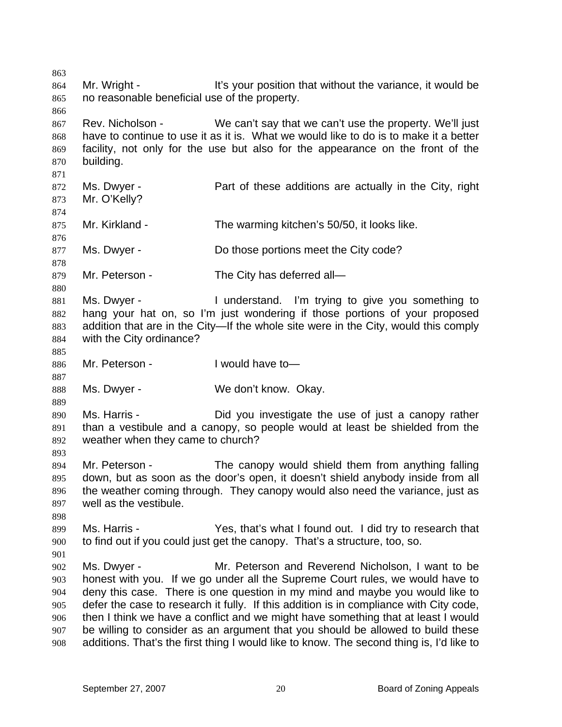863 864 865 866 867 868 869 870 871 872 873 874 875 876 877 878 879 880 881 882 883 884 885 886 887 888 889 890 891 892 893 894 895 896 897 898 899 900 901 902 903 904 905 906 907 908 Mr. Wright - It's your position that without the variance, it would be no reasonable beneficial use of the property. Rev. Nicholson - We can't say that we can't use the property. We'll just have to continue to use it as it is. What we would like to do is to make it a better facility, not only for the use but also for the appearance on the front of the building. Ms. Dwyer - **Part of these additions are actually in the City, right** Mr. O'Kelly? Mr. Kirkland - The warming kitchen's 50/50, it looks like. Ms. Dwyer - Do those portions meet the City code? Mr. Peterson - The City has deferred all— Ms. Dwyer - The Understand. I'm trying to give you something to hang your hat on, so I'm just wondering if those portions of your proposed addition that are in the City—If the whole site were in the City, would this comply with the City ordinance? Mr. Peterson - I would have to Ms. Dwyer - We don't know. Okay. Ms. Harris - The Did you investigate the use of just a canopy rather than a vestibule and a canopy, so people would at least be shielded from the weather when they came to church? Mr. Peterson - The canopy would shield them from anything falling down, but as soon as the door's open, it doesn't shield anybody inside from all the weather coming through. They canopy would also need the variance, just as well as the vestibule. Ms. Harris - The Yes, that's what I found out. I did try to research that to find out if you could just get the canopy. That's a structure, too, so. Ms. Dwyer - Mr. Peterson and Reverend Nicholson, I want to be honest with you. If we go under all the Supreme Court rules, we would have to deny this case. There is one question in my mind and maybe you would like to defer the case to research it fully. If this addition is in compliance with City code, then I think we have a conflict and we might have something that at least I would be willing to consider as an argument that you should be allowed to build these additions. That's the first thing I would like to know. The second thing is, I'd like to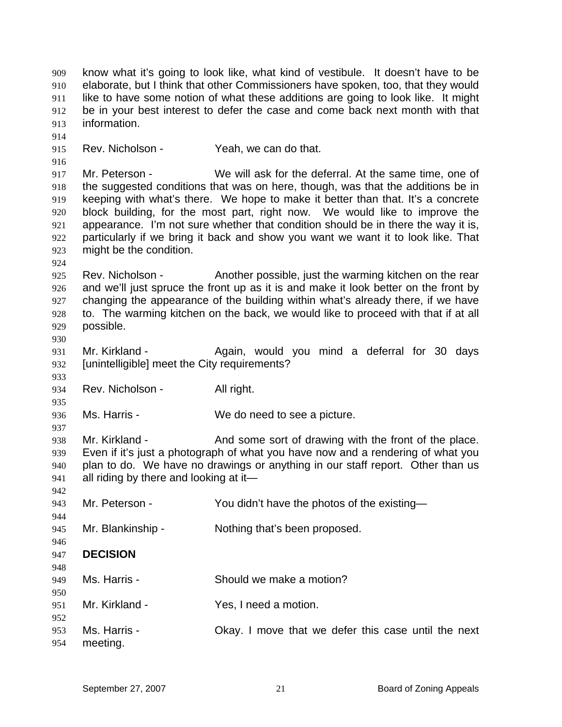909 910 911 912 913 914 915 916 917 918 919 920 921 922 923 924 925 926 927 928 929 930 931 932 933 934 935 936 937 938 939 940 941 942 943 944 945 946 947 948 949 950 951 952 953 954 know what it's going to look like, what kind of vestibule. It doesn't have to be elaborate, but I think that other Commissioners have spoken, too, that they would like to have some notion of what these additions are going to look like. It might be in your best interest to defer the case and come back next month with that information. Rev. Nicholson - Yeah, we can do that. Mr. Peterson - We will ask for the deferral. At the same time, one of the suggested conditions that was on here, though, was that the additions be in keeping with what's there. We hope to make it better than that. It's a concrete block building, for the most part, right now. We would like to improve the appearance. I'm not sure whether that condition should be in there the way it is, particularly if we bring it back and show you want we want it to look like. That might be the condition. Rev. Nicholson - Another possible, just the warming kitchen on the rear and we'll just spruce the front up as it is and make it look better on the front by changing the appearance of the building within what's already there, if we have to. The warming kitchen on the back, we would like to proceed with that if at all possible. Mr. Kirkland - The Again, would you mind a deferral for 30 days [unintelligible] meet the City requirements? Rev. Nicholson - All right. Ms. Harris - We do need to see a picture. Mr. Kirkland - The And some sort of drawing with the front of the place. Even if it's just a photograph of what you have now and a rendering of what you plan to do. We have no drawings or anything in our staff report. Other than us all riding by there and looking at it— Mr. Peterson - You didn't have the photos of the existing-Mr. Blankinship - Nothing that's been proposed. **DECISION**  Ms. Harris - Should we make a motion? Mr. Kirkland - Yes, I need a motion. Ms. Harris - Chay. I move that we defer this case until the next meeting.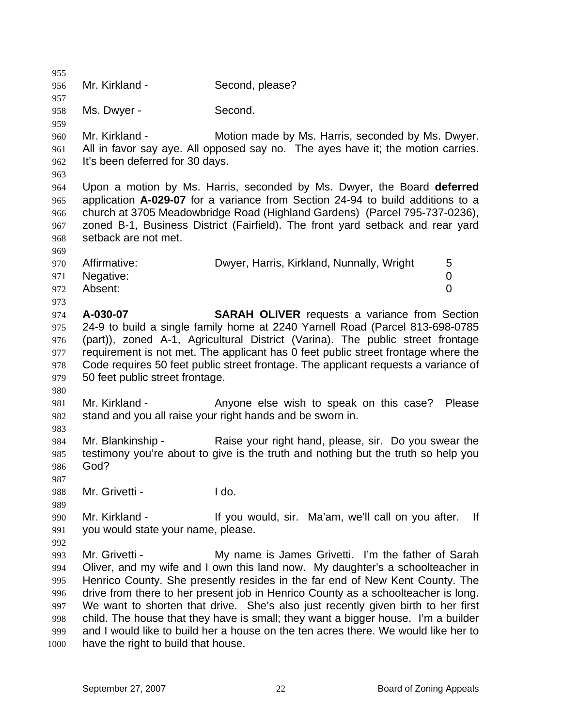955 956 957 958 959 960 961 962 963 964 965 966 967 968 969 970 971 972 973 974 975 976 977 978 979 980 981 982 983 984 985 986 987 988 989 990 991 992 993 994 995 996 997 998 999 1000 Mr. Kirkland - Second, please? Ms. Dwyer - Second. Mr. Kirkland - **Motion made by Ms. Harris, seconded by Ms. Dwyer.** All in favor say aye. All opposed say no. The ayes have it; the motion carries. It's been deferred for 30 days. Upon a motion by Ms. Harris, seconded by Ms. Dwyer, the Board **deferred** application **A-029-07** for a variance from Section 24-94 to build additions to a church at 3705 Meadowbridge Road (Highland Gardens) (Parcel 795-737-0236), zoned B-1, Business District (Fairfield). The front yard setback and rear yard setback are not met. Affirmative: Dwyer, Harris, Kirkland, Nunnally, Wright 5 Negative: 0 Absent: 0 **A-030-07 SARAH OLIVER** requests a variance from Section 24-9 to build a single family home at 2240 Yarnell Road (Parcel 813-698-0785 (part)), zoned A-1, Agricultural District (Varina). The public street frontage requirement is not met. The applicant has 0 feet public street frontage where the Code requires 50 feet public street frontage. The applicant requests a variance of 50 feet public street frontage. Mr. Kirkland - The Anyone else wish to speak on this case? Please stand and you all raise your right hands and be sworn in. Mr. Blankinship - Raise your right hand, please, sir. Do you swear the testimony you're about to give is the truth and nothing but the truth so help you God? Mr. Grivetti - **Ido.** Mr. Kirkland - The State of the Vou would, sir. Ma'am, we'll call on you after. If you would state your name, please. Mr. Grivetti - **My name is James Grivetti.** I'm the father of Sarah Oliver, and my wife and I own this land now. My daughter's a schoolteacher in Henrico County. She presently resides in the far end of New Kent County. The drive from there to her present job in Henrico County as a schoolteacher is long. We want to shorten that drive. She's also just recently given birth to her first child. The house that they have is small; they want a bigger house. I'm a builder and I would like to build her a house on the ten acres there. We would like her to have the right to build that house.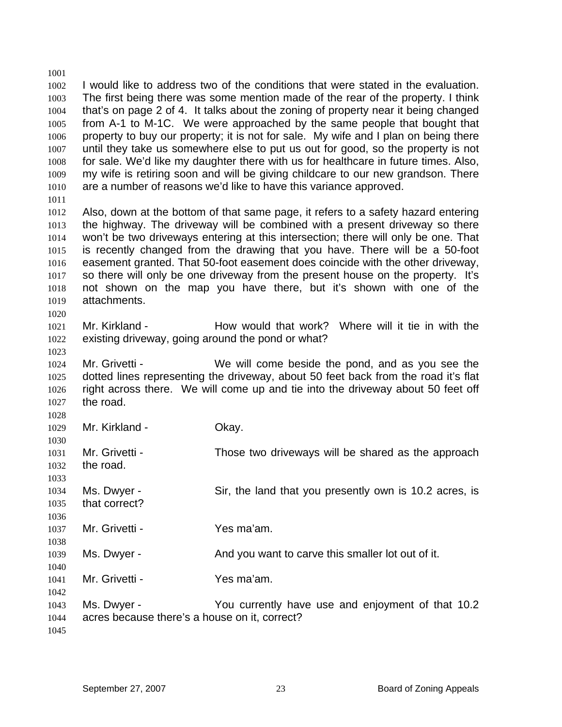1001 1002 1003 1004 1005 1006 1007 1008 1009 1010 1011 I would like to address two of the conditions that were stated in the evaluation. The first being there was some mention made of the rear of the property. I think that's on page 2 of 4. It talks about the zoning of property near it being changed from A-1 to M-1C. We were approached by the same people that bought that property to buy our property; it is not for sale. My wife and I plan on being there until they take us somewhere else to put us out for good, so the property is not for sale. We'd like my daughter there with us for healthcare in future times. Also, my wife is retiring soon and will be giving childcare to our new grandson. There are a number of reasons we'd like to have this variance approved.

1012 1013 1014 1015 1016 1017 1018 1019 Also, down at the bottom of that same page, it refers to a safety hazard entering the highway. The driveway will be combined with a present driveway so there won't be two driveways entering at this intersection; there will only be one. That is recently changed from the drawing that you have. There will be a 50-foot easement granted. That 50-foot easement does coincide with the other driveway, so there will only be one driveway from the present house on the property. It's not shown on the map you have there, but it's shown with one of the attachments.

1021 1022 Mr. Kirkland - How would that work? Where will it tie in with the existing driveway, going around the pond or what?

1024 1025 1026 1027 Mr. Grivetti - We will come beside the pond, and as you see the dotted lines representing the driveway, about 50 feet back from the road it's flat right across there. We will come up and tie into the driveway about 50 feet off the road.

1028 1029 1030 1031 1032 1033 1034 1035 1036 1037 1038 1039 1040 1041 1042 1043 1044 1045 Mr. Kirkland - **Okay.** Mr. Grivetti - Those two driveways will be shared as the approach the road. Ms. Dwyer - Sir, the land that you presently own is 10.2 acres, is that correct? Mr. Grivetti - Yes ma'am. Ms. Dwyer - And you want to carve this smaller lot out of it. Mr. Grivetti - **Yes ma'am.** Ms. Dwyer - You currently have use and enjoyment of that 10.2 acres because there's a house on it, correct?

1020

1023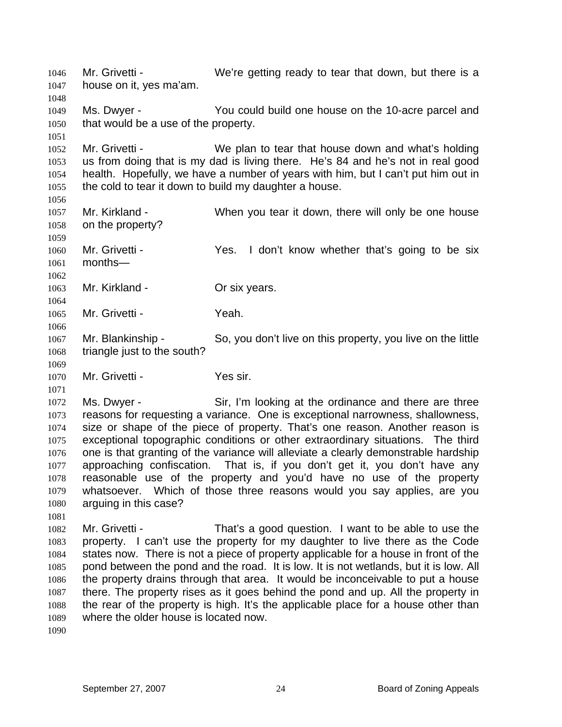1046 1047 1048 1049 1050 1051 1052 1053 1054 1055 1056 1057 1058 1059 1060 1061 1062 1063 1064 1065 1066 1067 1068 1069 1070 1071 1072 1073 1074 1075 1076 1077 1078 1079 1080 1081 1082 1083 1084 1085 1086 1087 1088 1089 1090 Mr. Grivetti - We're getting ready to tear that down, but there is a house on it, yes ma'am. Ms. Dwyer - You could build one house on the 10-acre parcel and that would be a use of the property. Mr. Grivetti - We plan to tear that house down and what's holding us from doing that is my dad is living there. He's 84 and he's not in real good health. Hopefully, we have a number of years with him, but I can't put him out in the cold to tear it down to build my daughter a house. Mr. Kirkland - When you tear it down, there will only be one house on the property? Mr. Grivetti - Yes. I don't know whether that's going to be six months— Mr. Kirkland - **Or six years.** Mr. Grivetti - Yeah. Mr. Blankinship - So, you don't live on this property, you live on the little triangle just to the south? Mr. Grivetti - Yes sir. Ms. Dwyer - Sir, I'm looking at the ordinance and there are three reasons for requesting a variance. One is exceptional narrowness, shallowness, size or shape of the piece of property. That's one reason. Another reason is exceptional topographic conditions or other extraordinary situations. The third one is that granting of the variance will alleviate a clearly demonstrable hardship approaching confiscation. That is, if you don't get it, you don't have any reasonable use of the property and you'd have no use of the property whatsoever. Which of those three reasons would you say applies, are you arguing in this case? Mr. Grivetti - That's a good question. I want to be able to use the property. I can't use the property for my daughter to live there as the Code states now. There is not a piece of property applicable for a house in front of the pond between the pond and the road. It is low. It is not wetlands, but it is low. All the property drains through that area. It would be inconceivable to put a house there. The property rises as it goes behind the pond and up. All the property in the rear of the property is high. It's the applicable place for a house other than where the older house is located now.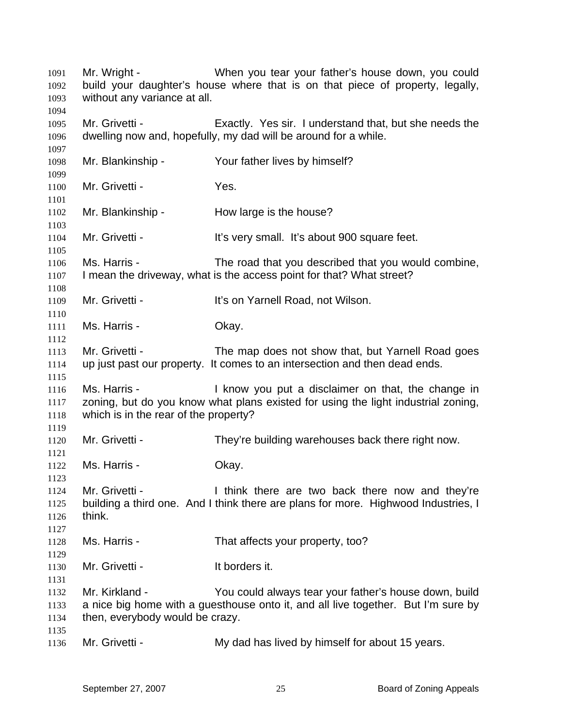| 1091<br>1092<br>1093         | Mr. Wright -<br>without any variance at all.          | When you tear your father's house down, you could<br>build your daughter's house where that is on that piece of property, legally,         |
|------------------------------|-------------------------------------------------------|--------------------------------------------------------------------------------------------------------------------------------------------|
| 1094<br>1095<br>1096<br>1097 | Mr. Grivetti -                                        | Exactly. Yes sir. I understand that, but she needs the<br>dwelling now and, hopefully, my dad will be around for a while.                  |
| 1098<br>1099                 | Mr. Blankinship -                                     | Your father lives by himself?                                                                                                              |
| 1100<br>1101                 | Mr. Grivetti -                                        | Yes.                                                                                                                                       |
| 1102<br>1103                 | Mr. Blankinship -                                     | How large is the house?                                                                                                                    |
| 1104<br>1105                 | Mr. Grivetti -                                        | It's very small. It's about 900 square feet.                                                                                               |
| 1106<br>1107<br>1108         | Ms. Harris -                                          | The road that you described that you would combine,<br>I mean the driveway, what is the access point for that? What street?                |
| 1109<br>1110                 | Mr. Grivetti -                                        | It's on Yarnell Road, not Wilson.                                                                                                          |
| 1111<br>1112                 | Ms. Harris -                                          | Okay.                                                                                                                                      |
| 1113<br>1114<br>1115         | Mr. Grivetti -                                        | The map does not show that, but Yarnell Road goes<br>up just past our property. It comes to an intersection and then dead ends.            |
| 1116<br>1117<br>1118<br>1119 | Ms. Harris -<br>which is in the rear of the property? | I know you put a disclaimer on that, the change in<br>zoning, but do you know what plans existed for using the light industrial zoning,    |
| 1120<br>1121                 | Mr. Grivetti -                                        | They're building warehouses back there right now.                                                                                          |
| 1122<br>1123                 | Ms. Harris -                                          | Okay.                                                                                                                                      |
| 1124<br>1125<br>1126<br>1127 | Mr. Grivetti -<br>think.                              | I think there are two back there now and they're<br>building a third one. And I think there are plans for more. Highwood Industries, I     |
| 1128<br>1129                 | Ms. Harris -                                          | That affects your property, too?                                                                                                           |
| 1130<br>1131                 | Mr. Grivetti -                                        | It borders it.                                                                                                                             |
| 1132<br>1133<br>1134         | Mr. Kirkland -<br>then, everybody would be crazy.     | You could always tear your father's house down, build<br>a nice big home with a guesthouse onto it, and all live together. But I'm sure by |
| 1135<br>1136                 | Mr. Grivetti -                                        | My dad has lived by himself for about 15 years.                                                                                            |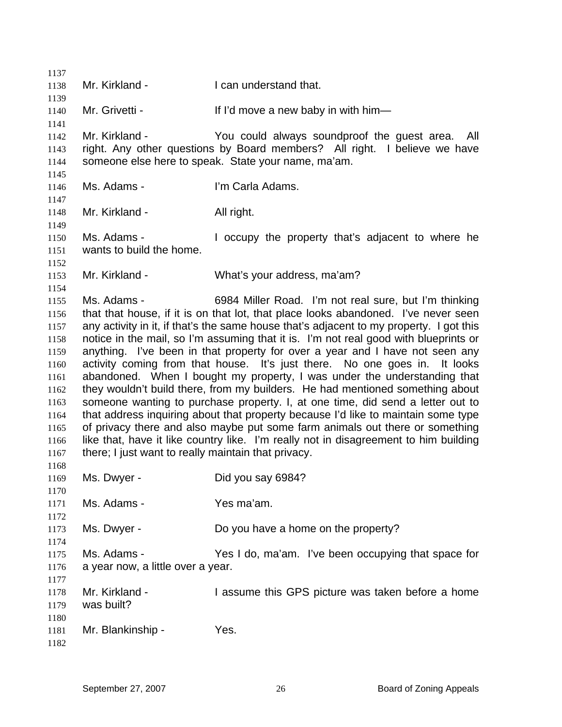| 1137         |                                                     |                                                                                                                                                                      |
|--------------|-----------------------------------------------------|----------------------------------------------------------------------------------------------------------------------------------------------------------------------|
| 1138         | Mr. Kirkland -                                      | I can understand that.                                                                                                                                               |
| 1139         |                                                     |                                                                                                                                                                      |
| 1140         | Mr. Grivetti -                                      | If I'd move a new baby in with him-                                                                                                                                  |
| 1141<br>1142 | Mr. Kirkland -                                      | You could always soundproof the guest area.<br>All                                                                                                                   |
| 1143         |                                                     | right. Any other questions by Board members? All right. I believe we have                                                                                            |
| 1144         |                                                     | someone else here to speak. State your name, ma'am.                                                                                                                  |
| 1145         |                                                     |                                                                                                                                                                      |
| 1146         | Ms. Adams -                                         | I'm Carla Adams.                                                                                                                                                     |
| 1147         |                                                     |                                                                                                                                                                      |
| 1148         | Mr. Kirkland -                                      | All right.                                                                                                                                                           |
| 1149         |                                                     |                                                                                                                                                                      |
| 1150         | Ms. Adams -                                         | I occupy the property that's adjacent to where he                                                                                                                    |
| 1151         | wants to build the home.                            |                                                                                                                                                                      |
| 1152         |                                                     |                                                                                                                                                                      |
| 1153         | Mr. Kirkland -                                      | What's your address, ma'am?                                                                                                                                          |
| 1154         |                                                     |                                                                                                                                                                      |
| 1155         | Ms. Adams -                                         | 6984 Miller Road. I'm not real sure, but I'm thinking                                                                                                                |
| 1156         |                                                     | that that house, if it is on that lot, that place looks abandoned. I've never seen                                                                                   |
| 1157         |                                                     | any activity in it, if that's the same house that's adjacent to my property. I got this                                                                              |
| 1158<br>1159 |                                                     | notice in the mail, so I'm assuming that it is. I'm not real good with blueprints or<br>anything. I've been in that property for over a year and I have not seen any |
| 1160         |                                                     | activity coming from that house. It's just there. No one goes in. It looks                                                                                           |
| 1161         |                                                     | abandoned. When I bought my property, I was under the understanding that                                                                                             |
| 1162         |                                                     | they wouldn't build there, from my builders. He had mentioned something about                                                                                        |
| 1163         |                                                     | someone wanting to purchase property. I, at one time, did send a letter out to                                                                                       |
| 1164         |                                                     | that address inquiring about that property because I'd like to maintain some type                                                                                    |
| 1165         |                                                     | of privacy there and also maybe put some farm animals out there or something                                                                                         |
| 1166         |                                                     | like that, have it like country like. I'm really not in disagreement to him building                                                                                 |
| 1167         | there; I just want to really maintain that privacy. |                                                                                                                                                                      |
| 1168         |                                                     |                                                                                                                                                                      |
| 1169         | Ms. Dwyer -                                         | Did you say 6984?                                                                                                                                                    |
| 1170         |                                                     |                                                                                                                                                                      |
| 1171         | Ms. Adams -                                         | Yes ma'am.                                                                                                                                                           |
| 1172         |                                                     |                                                                                                                                                                      |
| 1173         | Ms. Dwyer -                                         | Do you have a home on the property?                                                                                                                                  |
| 1174         | Ms. Adams -                                         |                                                                                                                                                                      |
| 1175<br>1176 | a year now, a little over a year.                   | Yes I do, ma'am. I've been occupying that space for                                                                                                                  |
| 1177         |                                                     |                                                                                                                                                                      |
| 1178         | Mr. Kirkland -                                      | I assume this GPS picture was taken before a home                                                                                                                    |
| 1179         | was built?                                          |                                                                                                                                                                      |
| 1180         |                                                     |                                                                                                                                                                      |
| 1181         | Mr. Blankinship -                                   | Yes.                                                                                                                                                                 |
| 1182         |                                                     |                                                                                                                                                                      |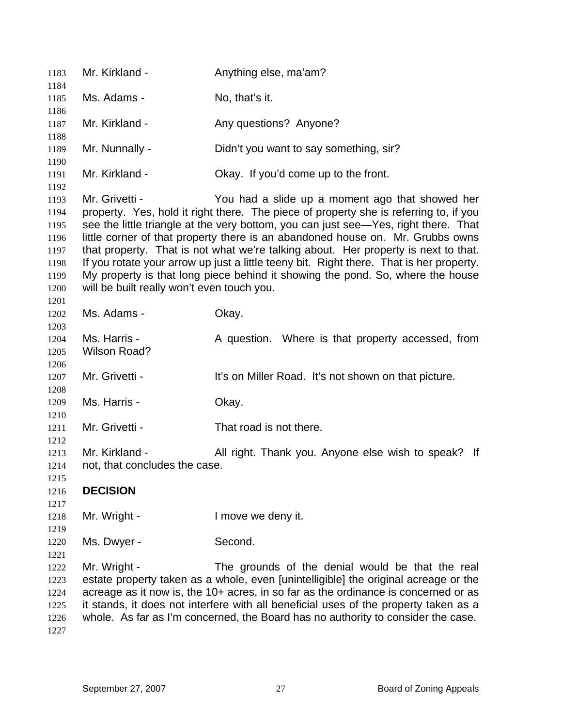| 1183                                                                 | Mr. Kirkland -                                               | Anything else, ma'am?                                                                                                                                                                                                                                                                                                                                                                                                                                                                                                                                                                |
|----------------------------------------------------------------------|--------------------------------------------------------------|--------------------------------------------------------------------------------------------------------------------------------------------------------------------------------------------------------------------------------------------------------------------------------------------------------------------------------------------------------------------------------------------------------------------------------------------------------------------------------------------------------------------------------------------------------------------------------------|
| 1184<br>1185                                                         | Ms. Adams -                                                  | No, that's it.                                                                                                                                                                                                                                                                                                                                                                                                                                                                                                                                                                       |
| 1186                                                                 |                                                              |                                                                                                                                                                                                                                                                                                                                                                                                                                                                                                                                                                                      |
| 1187<br>1188                                                         | Mr. Kirkland -                                               | Any questions? Anyone?                                                                                                                                                                                                                                                                                                                                                                                                                                                                                                                                                               |
| 1189<br>1190                                                         | Mr. Nunnally -                                               | Didn't you want to say something, sir?                                                                                                                                                                                                                                                                                                                                                                                                                                                                                                                                               |
| 1191<br>1192                                                         | Mr. Kirkland -                                               | Okay. If you'd come up to the front.                                                                                                                                                                                                                                                                                                                                                                                                                                                                                                                                                 |
| 1193<br>1194<br>1195<br>1196<br>1197<br>1198<br>1199<br>1200<br>1201 | Mr. Grivetti -<br>will be built really won't even touch you. | You had a slide up a moment ago that showed her<br>property. Yes, hold it right there. The piece of property she is referring to, if you<br>see the little triangle at the very bottom, you can just see—Yes, right there. That<br>little corner of that property there is an abandoned house on. Mr. Grubbs owns<br>that property. That is not what we're talking about. Her property is next to that.<br>If you rotate your arrow up just a little teeny bit. Right there. That is her property.<br>My property is that long piece behind it showing the pond. So, where the house |
| 1202                                                                 | Ms. Adams -                                                  | Okay.                                                                                                                                                                                                                                                                                                                                                                                                                                                                                                                                                                                |
| 1203<br>1204<br>1205                                                 | Ms. Harris -<br><b>Wilson Road?</b>                          | A question. Where is that property accessed, from                                                                                                                                                                                                                                                                                                                                                                                                                                                                                                                                    |
| 1206<br>1207<br>1208                                                 | Mr. Grivetti -                                               | It's on Miller Road. It's not shown on that picture.                                                                                                                                                                                                                                                                                                                                                                                                                                                                                                                                 |
| 1209<br>1210                                                         | Ms. Harris -                                                 | Okay.                                                                                                                                                                                                                                                                                                                                                                                                                                                                                                                                                                                |
| 1211<br>1212                                                         | Mr. Grivetti -                                               | That road is not there.                                                                                                                                                                                                                                                                                                                                                                                                                                                                                                                                                              |
| 1213<br>1214<br>1215                                                 | Mr. Kirkland -<br>not, that concludes the case.              | All right. Thank you. Anyone else wish to speak? If                                                                                                                                                                                                                                                                                                                                                                                                                                                                                                                                  |
| 1216<br>1217                                                         | <b>DECISION</b>                                              |                                                                                                                                                                                                                                                                                                                                                                                                                                                                                                                                                                                      |
| 1218<br>1219                                                         | Mr. Wright -                                                 | I move we deny it.                                                                                                                                                                                                                                                                                                                                                                                                                                                                                                                                                                   |
| 1220<br>1221                                                         | Ms. Dwyer -                                                  | Second.                                                                                                                                                                                                                                                                                                                                                                                                                                                                                                                                                                              |
| 1222<br>1223<br>1224<br>1225<br>1226<br>1227                         | Mr. Wright -                                                 | The grounds of the denial would be that the real<br>estate property taken as a whole, even [unintelligible] the original acreage or the<br>acreage as it now is, the 10+ acres, in so far as the ordinance is concerned or as<br>it stands, it does not interfere with all beneficial uses of the property taken as a<br>whole. As far as I'm concerned, the Board has no authority to consider the case.                                                                                                                                                                            |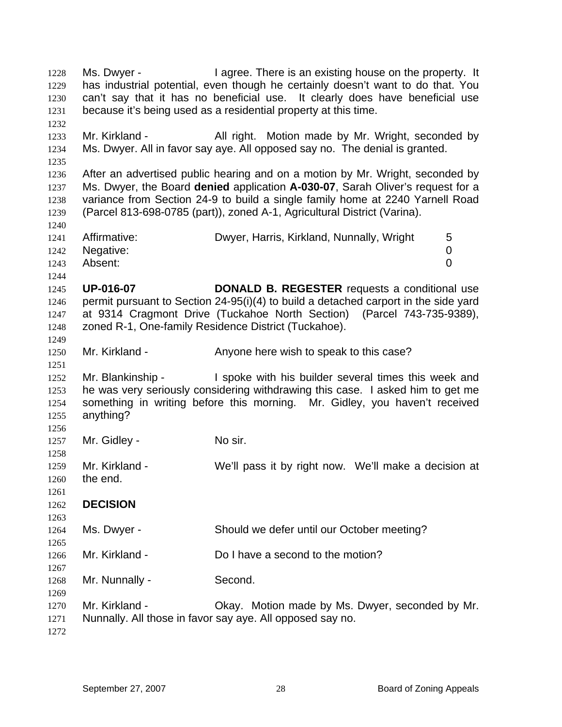1228 1229 1230 1231 1232 1233 1234 1235 1236 1237 1238 1239 1240 1241 1242 1243 1244 1245 1246 1247 1248 1249 1250 1251 1252 1253 1254 1255 1256 1257 1258 1259 1260 1261 1262 1263 1264 1265 1266 1267 1268 1269 1270 1271 1272 Ms. Dwyer - There is an existing house on the property. It has industrial potential, even though he certainly doesn't want to do that. You can't say that it has no beneficial use. It clearly does have beneficial use because it's being used as a residential property at this time. Mr. Kirkland - All right. Motion made by Mr. Wright, seconded by Ms. Dwyer. All in favor say aye. All opposed say no. The denial is granted. After an advertised public hearing and on a motion by Mr. Wright, seconded by Ms. Dwyer, the Board **denied** application **A-030-07**, Sarah Oliver's request for a variance from Section 24-9 to build a single family home at 2240 Yarnell Road (Parcel 813-698-0785 (part)), zoned A-1, Agricultural District (Varina). Affirmative: Dwyer, Harris, Kirkland, Nunnally, Wright 5 Negative: 0 Absent: 0 **UP-016-07 DONALD B. REGESTER** requests a conditional use permit pursuant to Section 24-95(i)(4) to build a detached carport in the side yard at 9314 Cragmont Drive (Tuckahoe North Section) (Parcel 743-735-9389), zoned R-1, One-family Residence District (Tuckahoe). Mr. Kirkland - Anyone here wish to speak to this case? Mr. Blankinship - The spoke with his builder several times this week and he was very seriously considering withdrawing this case. I asked him to get me something in writing before this morning. Mr. Gidley, you haven't received anything? Mr. Gidley - No sir. Mr. Kirkland - We'll pass it by right now. We'll make a decision at the end. **DECISION**  Ms. Dwyer - Should we defer until our October meeting? Mr. Kirkland - Do I have a second to the motion? Mr. Nunnally - Second. Mr. Kirkland - Ckay. Motion made by Ms. Dwyer, seconded by Mr. Nunnally. All those in favor say aye. All opposed say no.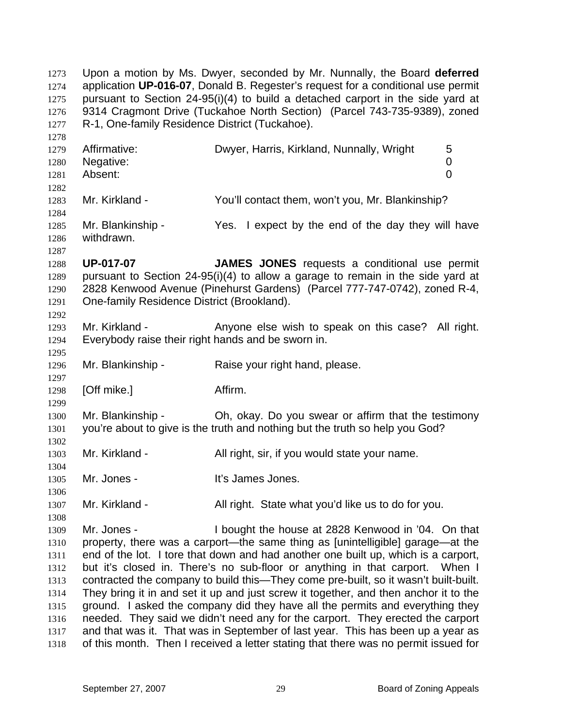1273 1274 1275 1276 1277 1278 1279 1280 1281 1282 1283 1284 1285 1286 1287 1288 1289 1290 1291 1292 1293 1294 1295 1296 1297 1298 1299 1300 1301 1302 1303 1304 1305 1306 1307 1308 1309 1310 1311 1312 1313 1314 1315 1316 1317 1318 Upon a motion by Ms. Dwyer, seconded by Mr. Nunnally, the Board **deferred** application **UP-016-07**, Donald B. Regester's request for a conditional use permit pursuant to Section 24-95(i)(4) to build a detached carport in the side yard at 9314 Cragmont Drive (Tuckahoe North Section) (Parcel 743-735-9389), zoned R-1, One-family Residence District (Tuckahoe). Affirmative: Charlowyer, Harris, Kirkland, Nunnally, Wright 5 Negative: 0 Absent: 0 Mr. Kirkland - The You'll contact them, won't you, Mr. Blankinship? Mr. Blankinship - Yes. I expect by the end of the day they will have withdrawn. **UP-017-07 JAMES JONES** requests a conditional use permit pursuant to Section 24-95(i)(4) to allow a garage to remain in the side yard at 2828 Kenwood Avenue (Pinehurst Gardens) (Parcel 777-747-0742), zoned R-4, One-family Residence District (Brookland). Mr. Kirkland - The Anyone else wish to speak on this case? All right. Everybody raise their right hands and be sworn in. Mr. Blankinship - Raise your right hand, please. [Off mike.] Affirm. Mr. Blankinship - Oh, okay. Do you swear or affirm that the testimony you're about to give is the truth and nothing but the truth so help you God? Mr. Kirkland - All right, sir, if you would state your name. Mr. Jones - The Music Company of the Unit States Jones. Mr. Kirkland - All right. State what you'd like us to do for you. Mr. Jones - I bought the house at 2828 Kenwood in '04. On that property, there was a carport—the same thing as [unintelligible] garage—at the end of the lot. I tore that down and had another one built up, which is a carport, but it's closed in. There's no sub-floor or anything in that carport. When I contracted the company to build this—They come pre-built, so it wasn't built-built. They bring it in and set it up and just screw it together, and then anchor it to the ground. I asked the company did they have all the permits and everything they needed. They said we didn't need any for the carport. They erected the carport and that was it. That was in September of last year. This has been up a year as of this month. Then I received a letter stating that there was no permit issued for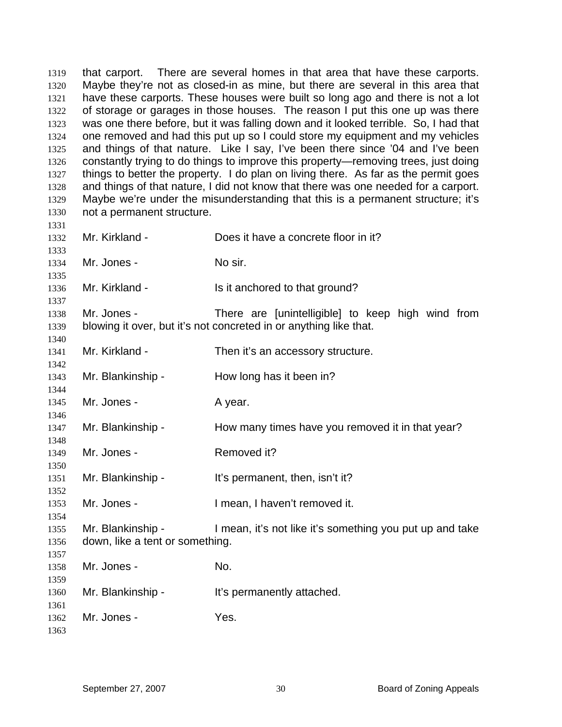1319 1320 1321 1322 1323 1324 1325 1326 1327 1328 1329 1330 1331 1332 1333 1334 1335 1336 1337 1338 1339 1340 1341 1342 1343 1344 1345 1346 1347 1348 1349 1350 1351 1352 1353 1354 1355 1356 1357 1358 1359 1360 1361 1362 1363 that carport. There are several homes in that area that have these carports. Maybe they're not as closed-in as mine, but there are several in this area that have these carports. These houses were built so long ago and there is not a lot of storage or garages in those houses. The reason I put this one up was there was one there before, but it was falling down and it looked terrible. So, I had that one removed and had this put up so I could store my equipment and my vehicles and things of that nature. Like I say, I've been there since '04 and I've been constantly trying to do things to improve this property—removing trees, just doing things to better the property. I do plan on living there. As far as the permit goes and things of that nature, I did not know that there was one needed for a carport. Maybe we're under the misunderstanding that this is a permanent structure; it's not a permanent structure. Mr. Kirkland - Does it have a concrete floor in it? Mr. Jones - No sir. Mr. Kirkland - Is it anchored to that ground? Mr. Jones - There are [unintelligible] to keep high wind from blowing it over, but it's not concreted in or anything like that. Mr. Kirkland - Then it's an accessory structure. Mr. Blankinship - How long has it been in? Mr. Jones - A year. Mr. Blankinship - How many times have you removed it in that year? Mr. Jones - Removed it? Mr. Blankinship - It's permanent, then, isn't it? Mr. Jones - Thean, I haven't removed it. Mr. Blankinship - I mean, it's not like it's something you put up and take down, like a tent or something. Mr. Jones - No. Mr. Blankinship - It's permanently attached. Mr. Jones - Yes.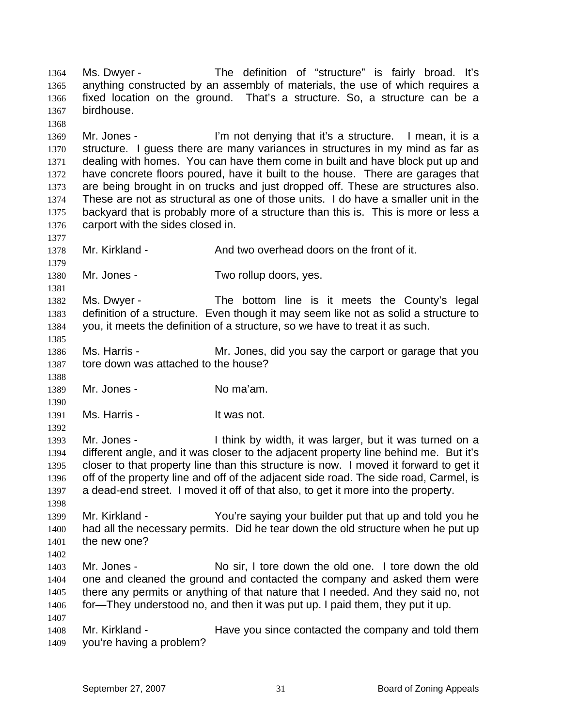1364 1365 1366 1367 1368 1369 1370 1371 1372 1373 1374 1375 1376 1377 1378 1379 1380 1381 1382 1383 1384 1385 1386 1387 1388 1389 1390 1391 1392 1393 1394 1395 1396 1397 1398 1399 1400 1401 1402 1403 1404 1405 1406 1407 1408 1409 Ms. Dwyer - The definition of "structure" is fairly broad. It's anything constructed by an assembly of materials, the use of which requires a fixed location on the ground. That's a structure. So, a structure can be a birdhouse. Mr. Jones - I'm not denying that it's a structure. I mean, it is a structure. I guess there are many variances in structures in my mind as far as dealing with homes. You can have them come in built and have block put up and have concrete floors poured, have it built to the house. There are garages that are being brought in on trucks and just dropped off. These are structures also. These are not as structural as one of those units. I do have a smaller unit in the backyard that is probably more of a structure than this is. This is more or less a carport with the sides closed in. Mr. Kirkland - And two overhead doors on the front of it. Mr. Jones - Two rollup doors, yes. Ms. Dwyer - The bottom line is it meets the County's legal definition of a structure. Even though it may seem like not as solid a structure to you, it meets the definition of a structure, so we have to treat it as such. Ms. Harris - Mr. Jones, did you say the carport or garage that you tore down was attached to the house? Mr. Jones - No ma'am. Ms. Harris - The Music Harris - The Music Harris - The Music Harris of The Music Harris of The Music Harris and H Mr. Jones - Think by width, it was larger, but it was turned on a different angle, and it was closer to the adjacent property line behind me. But it's closer to that property line than this structure is now. I moved it forward to get it off of the property line and off of the adjacent side road. The side road, Carmel, is a dead-end street. I moved it off of that also, to get it more into the property. Mr. Kirkland - You're saying your builder put that up and told you he had all the necessary permits. Did he tear down the old structure when he put up the new one? Mr. Jones - No sir, I tore down the old one. I tore down the old one and cleaned the ground and contacted the company and asked them were there any permits or anything of that nature that I needed. And they said no, not for—They understood no, and then it was put up. I paid them, they put it up. Mr. Kirkland - The Have you since contacted the company and told them you're having a problem?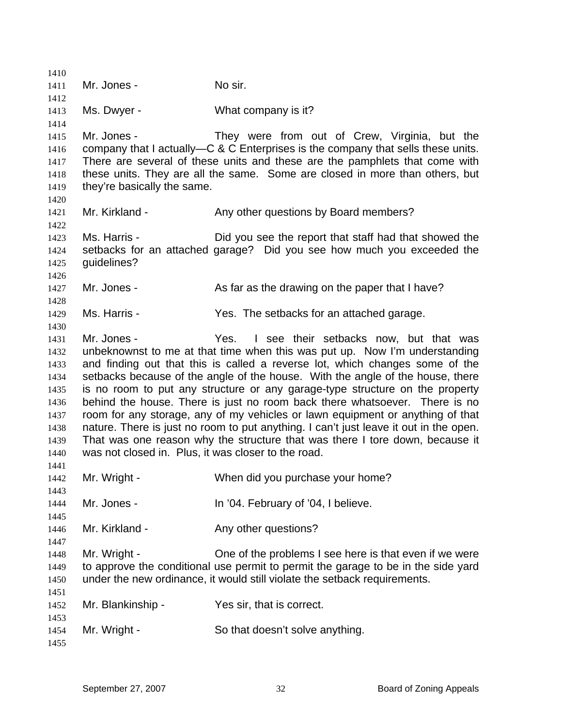| 1410         |                                                     |                                                                                                                                                            |
|--------------|-----------------------------------------------------|------------------------------------------------------------------------------------------------------------------------------------------------------------|
| 1411         | Mr. Jones -                                         | No sir.                                                                                                                                                    |
| 1412         |                                                     |                                                                                                                                                            |
| 1413         | Ms. Dwyer -                                         | What company is it?                                                                                                                                        |
| 1414         |                                                     |                                                                                                                                                            |
| 1415         | Mr. Jones -                                         | They were from out of Crew, Virginia, but the                                                                                                              |
| 1416         |                                                     | company that I actually—C & C Enterprises is the company that sells these units.                                                                           |
| 1417         |                                                     | There are several of these units and these are the pamphlets that come with                                                                                |
| 1418         |                                                     | these units. They are all the same. Some are closed in more than others, but                                                                               |
| 1419         | they're basically the same.                         |                                                                                                                                                            |
| 1420         |                                                     |                                                                                                                                                            |
| 1421         | Mr. Kirkland -                                      | Any other questions by Board members?                                                                                                                      |
| 1422         |                                                     |                                                                                                                                                            |
| 1423         | Ms. Harris -                                        | Did you see the report that staff had that showed the                                                                                                      |
| 1424         |                                                     | setbacks for an attached garage? Did you see how much you exceeded the                                                                                     |
| 1425         | guidelines?                                         |                                                                                                                                                            |
| 1426         |                                                     |                                                                                                                                                            |
| 1427         | Mr. Jones -                                         | As far as the drawing on the paper that I have?                                                                                                            |
| 1428         |                                                     |                                                                                                                                                            |
| 1429         | Ms. Harris -                                        | Yes. The setbacks for an attached garage.                                                                                                                  |
| 1430         |                                                     |                                                                                                                                                            |
| 1431         | Mr. Jones -                                         | Yes. I see their setbacks now, but that was                                                                                                                |
| 1432         |                                                     | unbeknownst to me at that time when this was put up. Now I'm understanding                                                                                 |
| 1433         |                                                     | and finding out that this is called a reverse lot, which changes some of the                                                                               |
| 1434         |                                                     | setbacks because of the angle of the house. With the angle of the house, there                                                                             |
| 1435         |                                                     | is no room to put any structure or any garage-type structure on the property<br>behind the house. There is just no room back there whatsoever. There is no |
| 1436<br>1437 |                                                     | room for any storage, any of my vehicles or lawn equipment or anything of that                                                                             |
| 1438         |                                                     | nature. There is just no room to put anything. I can't just leave it out in the open.                                                                      |
| 1439         |                                                     | That was one reason why the structure that was there I tore down, because it                                                                               |
| 1440         | was not closed in. Plus, it was closer to the road. |                                                                                                                                                            |
| 1441         |                                                     |                                                                                                                                                            |
| 1442         | Mr. Wright -                                        | When did you purchase your home?                                                                                                                           |
| 1443         |                                                     |                                                                                                                                                            |
| 1444         | Mr. Jones -                                         | In '04. February of '04, I believe.                                                                                                                        |
| 1445         |                                                     |                                                                                                                                                            |
| 1446         | Mr. Kirkland -                                      | Any other questions?                                                                                                                                       |
| 1447         |                                                     |                                                                                                                                                            |
| 1448         | Mr. Wright -                                        | One of the problems I see here is that even if we were                                                                                                     |
| 1449         |                                                     | to approve the conditional use permit to permit the garage to be in the side yard                                                                          |
| 1450         |                                                     | under the new ordinance, it would still violate the setback requirements.                                                                                  |
| 1451         |                                                     |                                                                                                                                                            |
| 1452         | Mr. Blankinship -                                   | Yes sir, that is correct.                                                                                                                                  |
| 1453         |                                                     |                                                                                                                                                            |
| 1454         | Mr. Wright -                                        | So that doesn't solve anything.                                                                                                                            |
| 1455         |                                                     |                                                                                                                                                            |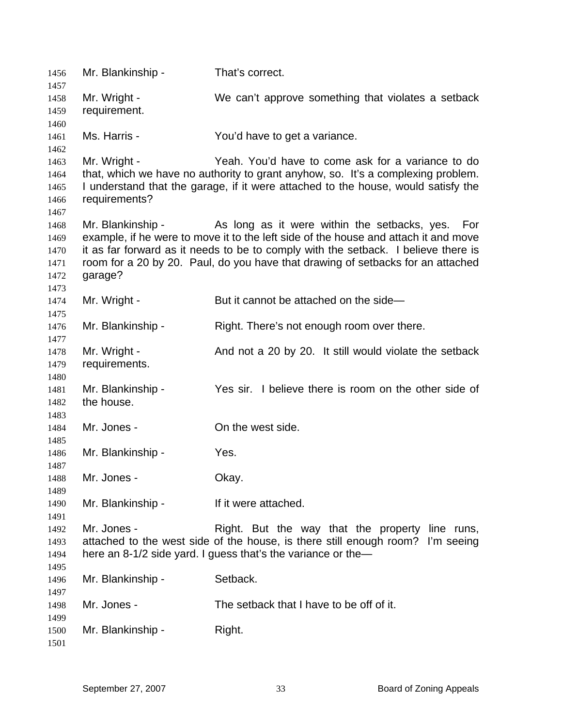| 1456         | Mr. Blankinship - | That's correct.                                                                     |
|--------------|-------------------|-------------------------------------------------------------------------------------|
| 1457<br>1458 | Mr. Wright -      | We can't approve something that violates a setback                                  |
| 1459         | requirement.      |                                                                                     |
|              |                   |                                                                                     |
| 1460<br>1461 | Ms. Harris -      | You'd have to get a variance.                                                       |
| 1462         |                   |                                                                                     |
| 1463         | Mr. Wright -      | Yeah. You'd have to come ask for a variance to do                                   |
| 1464         |                   | that, which we have no authority to grant anyhow, so. It's a complexing problem.    |
| 1465         |                   | I understand that the garage, if it were attached to the house, would satisfy the   |
| 1466         | requirements?     |                                                                                     |
| 1467         |                   |                                                                                     |
| 1468         | Mr. Blankinship - | As long as it were within the setbacks, yes. For                                    |
| 1469         |                   | example, if he were to move it to the left side of the house and attach it and move |
| 1470         |                   | it as far forward as it needs to be to comply with the setback. I believe there is  |
| 1471         |                   | room for a 20 by 20. Paul, do you have that drawing of setbacks for an attached     |
| 1472         | garage?           |                                                                                     |
| 1473         |                   |                                                                                     |
| 1474         | Mr. Wright -      | But it cannot be attached on the side-                                              |
| 1475         |                   |                                                                                     |
| 1476         | Mr. Blankinship - | Right. There's not enough room over there.                                          |
| 1477         |                   |                                                                                     |
| 1478         | Mr. Wright -      | And not a 20 by 20. It still would violate the setback                              |
| 1479         | requirements.     |                                                                                     |
| 1480         |                   |                                                                                     |
| 1481         | Mr. Blankinship - | Yes sir. I believe there is room on the other side of                               |
| 1482         | the house.        |                                                                                     |
| 1483         |                   |                                                                                     |
| 1484         | Mr. Jones -       | On the west side.                                                                   |
| 1485         |                   |                                                                                     |
| 1486         | Mr. Blankinship - | Yes.                                                                                |
| 1487         |                   |                                                                                     |
| 1488         | Mr. Jones -       | Okay.                                                                               |
| 1489         |                   |                                                                                     |
| 1490         | Mr. Blankinship - | If it were attached.                                                                |
| 1491         |                   |                                                                                     |
| 1492         | Mr. Jones -       | Right. But the way that the property line runs,                                     |
| 1493         |                   | attached to the west side of the house, is there still enough room? I'm seeing      |
| 1494         |                   | here an 8-1/2 side yard. I guess that's the variance or the-                        |
| 1495         |                   |                                                                                     |
| 1496         | Mr. Blankinship - | Setback.                                                                            |
| 1497         |                   |                                                                                     |
| 1498         | Mr. Jones -       | The setback that I have to be off of it.                                            |
| 1499         |                   |                                                                                     |
| 1500         | Mr. Blankinship - | Right.                                                                              |
| 1501         |                   |                                                                                     |
|              |                   |                                                                                     |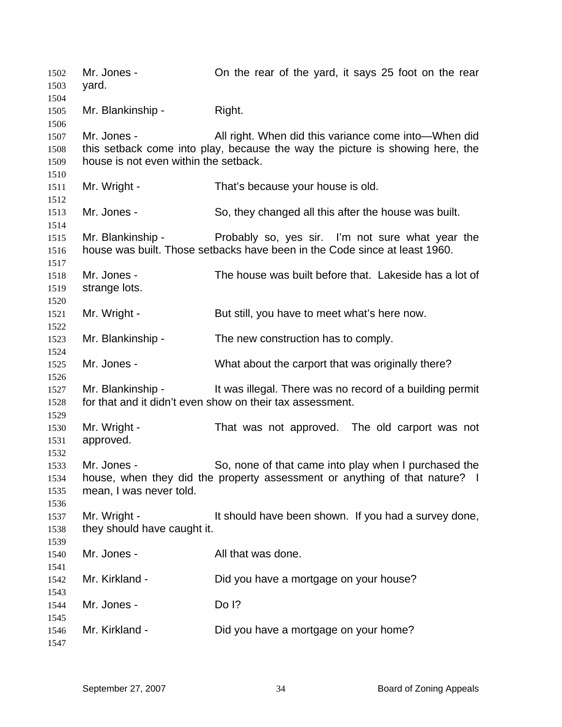Mr. Jones - Con the rear of the yard, it says 25 foot on the rear yard. Mr. Blankinship - Right. Mr. Jones - All right. When did this variance come into—When did this setback come into play, because the way the picture is showing here, the house is not even within the setback. Mr. Wright - That's because your house is old. Mr. Jones - So, they changed all this after the house was built. Mr. Blankinship - The Probably so, yes sir. I'm not sure what year the house was built. Those setbacks have been in the Code since at least 1960. Mr. Jones - The house was built before that. Lakeside has a lot of strange lots. Mr. Wright - But still, you have to meet what's here now. Mr. Blankinship - The new construction has to comply. Mr. Jones - What about the carport that was originally there? Mr. Blankinship - It was illegal. There was no record of a building permit for that and it didn't even show on their tax assessment. Mr. Wright - That was not approved. The old carport was not approved. Mr. Jones - So, none of that came into play when I purchased the house, when they did the property assessment or anything of that nature? I mean, I was never told. Mr. Wright - The State of the Should have been shown. If you had a survey done, they should have caught it. Mr. Jones - The Contract All that was done. Mr. Kirkland - Did you have a mortgage on your house? Mr. Jones - Do I? Mr. Kirkland - Did you have a mortgage on your home?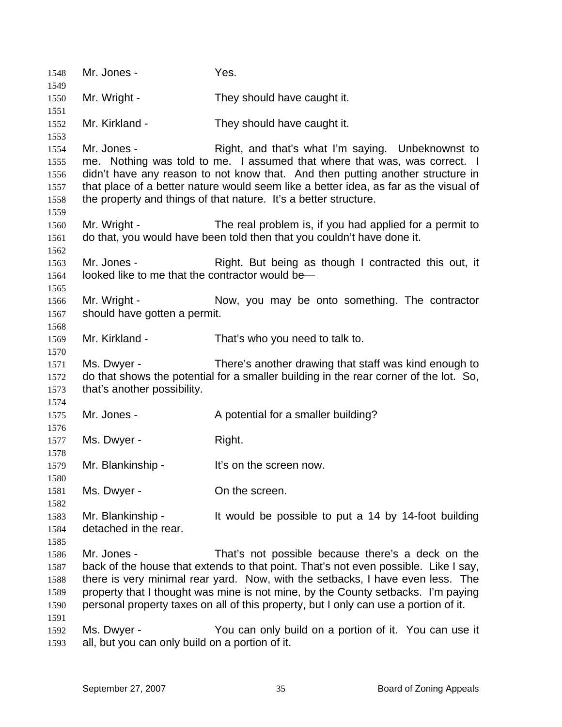| 1548<br>1549                                 | Mr. Jones -                                                    | Yes.                                                                                                                                                                                                                                                                                                                                                                                                   |
|----------------------------------------------|----------------------------------------------------------------|--------------------------------------------------------------------------------------------------------------------------------------------------------------------------------------------------------------------------------------------------------------------------------------------------------------------------------------------------------------------------------------------------------|
| 1550                                         | Mr. Wright -                                                   | They should have caught it.                                                                                                                                                                                                                                                                                                                                                                            |
| 1551<br>1552<br>1553                         | Mr. Kirkland -                                                 | They should have caught it.                                                                                                                                                                                                                                                                                                                                                                            |
| 1554<br>1555<br>1556<br>1557<br>1558<br>1559 | Mr. Jones -                                                    | Right, and that's what I'm saying. Unbeknownst to<br>me. Nothing was told to me. I assumed that where that was, was correct. I<br>didn't have any reason to not know that. And then putting another structure in<br>that place of a better nature would seem like a better idea, as far as the visual of<br>the property and things of that nature. It's a better structure.                           |
| 1560<br>1561                                 | Mr. Wright -                                                   | The real problem is, if you had applied for a permit to<br>do that, you would have been told then that you couldn't have done it.                                                                                                                                                                                                                                                                      |
| 1562<br>1563<br>1564<br>1565                 | Mr. Jones -<br>looked like to me that the contractor would be- | Right. But being as though I contracted this out, it                                                                                                                                                                                                                                                                                                                                                   |
| 1566<br>1567<br>1568                         | Mr. Wright -<br>should have gotten a permit.                   | Now, you may be onto something. The contractor                                                                                                                                                                                                                                                                                                                                                         |
| 1569<br>1570                                 | Mr. Kirkland -                                                 | That's who you need to talk to.                                                                                                                                                                                                                                                                                                                                                                        |
| 1571<br>1572<br>1573                         | Ms. Dwyer -<br>that's another possibility.                     | There's another drawing that staff was kind enough to<br>do that shows the potential for a smaller building in the rear corner of the lot. So,                                                                                                                                                                                                                                                         |
| 1574<br>1575<br>1576                         | Mr. Jones -                                                    | A potential for a smaller building?                                                                                                                                                                                                                                                                                                                                                                    |
| 1577<br>1578                                 | Ms. Dwyer -                                                    | Right.                                                                                                                                                                                                                                                                                                                                                                                                 |
| 1579<br>1580                                 | Mr. Blankinship -                                              | It's on the screen now.                                                                                                                                                                                                                                                                                                                                                                                |
| 1581<br>1582                                 | Ms. Dwyer -                                                    | On the screen.                                                                                                                                                                                                                                                                                                                                                                                         |
| 1583<br>1584<br>1585                         | Mr. Blankinship -<br>detached in the rear.                     | It would be possible to put a 14 by 14-foot building                                                                                                                                                                                                                                                                                                                                                   |
| 1586<br>1587<br>1588<br>1589<br>1590<br>1591 | Mr. Jones -                                                    | That's not possible because there's a deck on the<br>back of the house that extends to that point. That's not even possible. Like I say,<br>there is very minimal rear yard. Now, with the setbacks, I have even less. The<br>property that I thought was mine is not mine, by the County setbacks. I'm paying<br>personal property taxes on all of this property, but I only can use a portion of it. |
| 1592<br>1593                                 | Ms. Dwyer -<br>all, but you can only build on a portion of it. | You can only build on a portion of it. You can use it                                                                                                                                                                                                                                                                                                                                                  |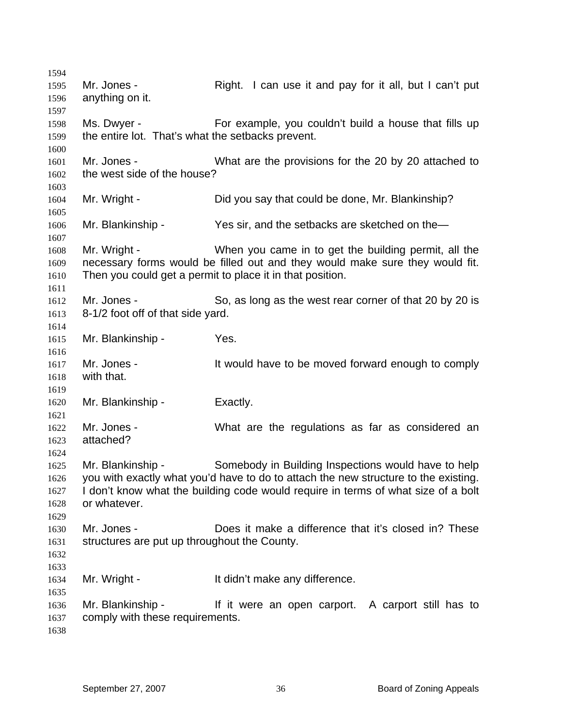| 1594 |                                                   |                                                                                     |
|------|---------------------------------------------------|-------------------------------------------------------------------------------------|
| 1595 | Mr. Jones -                                       | Right. I can use it and pay for it all, but I can't put                             |
| 1596 | anything on it.                                   |                                                                                     |
| 1597 |                                                   |                                                                                     |
| 1598 | Ms. Dwyer -                                       | For example, you couldn't build a house that fills up                               |
| 1599 | the entire lot. That's what the setbacks prevent. |                                                                                     |
| 1600 |                                                   |                                                                                     |
| 1601 | Mr. Jones -                                       | What are the provisions for the 20 by 20 attached to                                |
| 1602 | the west side of the house?                       |                                                                                     |
| 1603 |                                                   |                                                                                     |
| 1604 | Mr. Wright -                                      | Did you say that could be done, Mr. Blankinship?                                    |
| 1605 |                                                   |                                                                                     |
| 1606 | Mr. Blankinship -                                 | Yes sir, and the setbacks are sketched on the-                                      |
| 1607 |                                                   |                                                                                     |
| 1608 | Mr. Wright -                                      | When you came in to get the building permit, all the                                |
| 1609 |                                                   | necessary forms would be filled out and they would make sure they would fit.        |
| 1610 |                                                   | Then you could get a permit to place it in that position.                           |
| 1611 |                                                   |                                                                                     |
| 1612 | Mr. Jones -                                       | So, as long as the west rear corner of that 20 by 20 is                             |
| 1613 | 8-1/2 foot off of that side yard.                 |                                                                                     |
| 1614 |                                                   |                                                                                     |
| 1615 | Mr. Blankinship -                                 | Yes.                                                                                |
| 1616 |                                                   |                                                                                     |
| 1617 | Mr. Jones -                                       | It would have to be moved forward enough to comply                                  |
| 1618 | with that.                                        |                                                                                     |
| 1619 |                                                   |                                                                                     |
| 1620 | Mr. Blankinship -                                 | Exactly.                                                                            |
| 1621 |                                                   |                                                                                     |
| 1622 | Mr. Jones -                                       | What are the regulations as far as considered an                                    |
| 1623 | attached?                                         |                                                                                     |
| 1624 |                                                   |                                                                                     |
| 1625 | Mr. Blankinship -                                 | Somebody in Building Inspections would have to help                                 |
| 1626 |                                                   | you with exactly what you'd have to do to attach the new structure to the existing. |
| 1627 |                                                   | I don't know what the building code would require in terms of what size of a bolt   |
| 1628 | or whatever.                                      |                                                                                     |
| 1629 |                                                   |                                                                                     |
| 1630 | Mr. Jones -                                       | Does it make a difference that it's closed in? These                                |
| 1631 | structures are put up throughout the County.      |                                                                                     |
| 1632 |                                                   |                                                                                     |
| 1633 |                                                   |                                                                                     |
| 1634 | Mr. Wright -                                      | It didn't make any difference.                                                      |
| 1635 |                                                   |                                                                                     |
| 1636 | Mr. Blankinship -                                 | If it were an open carport. A carport still has to                                  |
| 1637 | comply with these requirements.                   |                                                                                     |
| 1638 |                                                   |                                                                                     |
|      |                                                   |                                                                                     |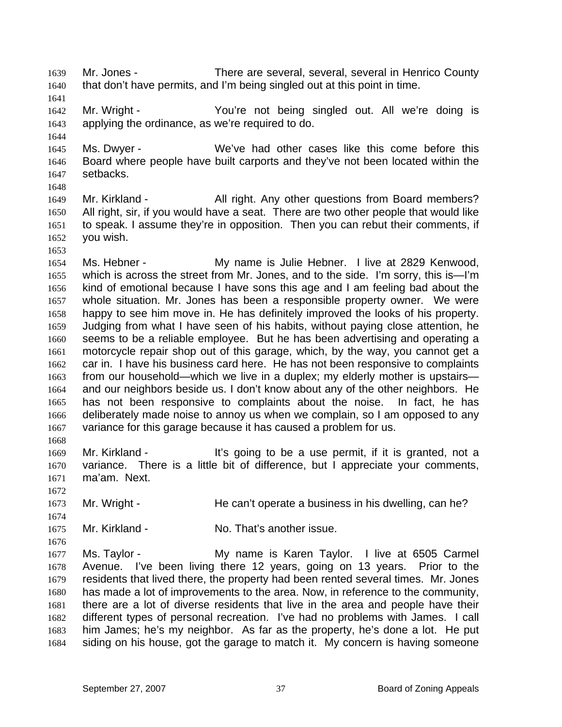1639 1640 Mr. Jones - There are several, several, several in Henrico County that don't have permits, and I'm being singled out at this point in time.

1641

1644

1642 1643 Mr. Wright - The You're not being singled out. All we're doing is applying the ordinance, as we're required to do.

1645 1646 1647 Ms. Dwyer - We've had other cases like this come before this Board where people have built carports and they've not been located within the setbacks.

1648

1653

1668

1672

1674

1676

1649 1650 1651 1652 Mr. Kirkland - **All right.** Any other questions from Board members? All right, sir, if you would have a seat. There are two other people that would like to speak. I assume they're in opposition. Then you can rebut their comments, if you wish.

1654 1655 1656 1657 1658 1659 1660 1661 1662 1663 1664 1665 1666 1667 Ms. Hebner - My name is Julie Hebner. I live at 2829 Kenwood, which is across the street from Mr. Jones, and to the side. I'm sorry, this is—I'm kind of emotional because I have sons this age and I am feeling bad about the whole situation. Mr. Jones has been a responsible property owner. We were happy to see him move in. He has definitely improved the looks of his property. Judging from what I have seen of his habits, without paying close attention, he seems to be a reliable employee. But he has been advertising and operating a motorcycle repair shop out of this garage, which, by the way, you cannot get a car in. I have his business card here. He has not been responsive to complaints from our household—which we live in a duplex; my elderly mother is upstairs and our neighbors beside us. I don't know about any of the other neighbors. He has not been responsive to complaints about the noise. In fact, he has deliberately made noise to annoy us when we complain, so I am opposed to any variance for this garage because it has caused a problem for us.

1669 1670 1671 Mr. Kirkland - It's going to be a use permit, if it is granted, not a variance. There is a little bit of difference, but I appreciate your comments, ma'am. Next.

1673 Mr. Wright - He can't operate a business in his dwelling, can he?

1675 Mr. Kirkland - **No. That's another issue.** 

1677 1678 1679 1680 1681 1682 1683 1684 Ms. Taylor - **My name is Karen Taylor.** I live at 6505 Carmel Avenue. I've been living there 12 years, going on 13 years. Prior to the residents that lived there, the property had been rented several times. Mr. Jones has made a lot of improvements to the area. Now, in reference to the community, there are a lot of diverse residents that live in the area and people have their different types of personal recreation. I've had no problems with James. I call him James; he's my neighbor. As far as the property, he's done a lot. He put siding on his house, got the garage to match it. My concern is having someone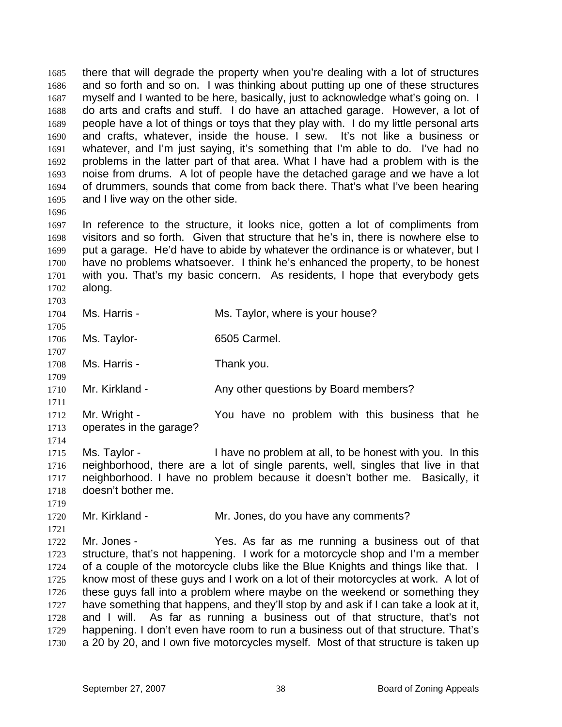1685 1686 1687 1688 1689 1690 1691 1692 1693 1694 1695 there that will degrade the property when you're dealing with a lot of structures and so forth and so on. I was thinking about putting up one of these structures myself and I wanted to be here, basically, just to acknowledge what's going on. I do arts and crafts and stuff. I do have an attached garage. However, a lot of people have a lot of things or toys that they play with. I do my little personal arts and crafts, whatever, inside the house. I sew. It's not like a business or whatever, and I'm just saying, it's something that I'm able to do. I've had no problems in the latter part of that area. What I have had a problem with is the noise from drums. A lot of people have the detached garage and we have a lot of drummers, sounds that come from back there. That's what I've been hearing and I live way on the other side.

1696

1697 1698 1699 1700 1701 1702 In reference to the structure, it looks nice, gotten a lot of compliments from visitors and so forth. Given that structure that he's in, there is nowhere else to put a garage. He'd have to abide by whatever the ordinance is or whatever, but I have no problems whatsoever. I think he's enhanced the property, to be honest with you. That's my basic concern. As residents, I hope that everybody gets along.

1704 Ms. Harris - The Ms. Taylor, where is your house?

1703

1711

1714

- 1705 1706 Ms. Taylor-<br>
6505 Carmel.
- 1707 1708 Ms. Harris - Thank you.
- 1709 1710 Mr. Kirkland - Any other questions by Board members?
- 1712 1713 Mr. Wright - The You have no problem with this business that he operates in the garage?
- 1715 1716 1717 1718 Ms. Taylor - I have no problem at all, to be honest with you. In this neighborhood, there are a lot of single parents, well, singles that live in that neighborhood. I have no problem because it doesn't bother me. Basically, it doesn't bother me.
- 1719 1720

1721

- Mr. Kirkland The Mr. Jones, do you have any comments?
- 1722 1723 1724 1725 1726 1727 1728 1729 1730 Mr. Jones - Yes. As far as me running a business out of that structure, that's not happening. I work for a motorcycle shop and I'm a member of a couple of the motorcycle clubs like the Blue Knights and things like that. I know most of these guys and I work on a lot of their motorcycles at work. A lot of these guys fall into a problem where maybe on the weekend or something they have something that happens, and they'll stop by and ask if I can take a look at it, and I will. As far as running a business out of that structure, that's not happening. I don't even have room to run a business out of that structure. That's a 20 by 20, and I own five motorcycles myself. Most of that structure is taken up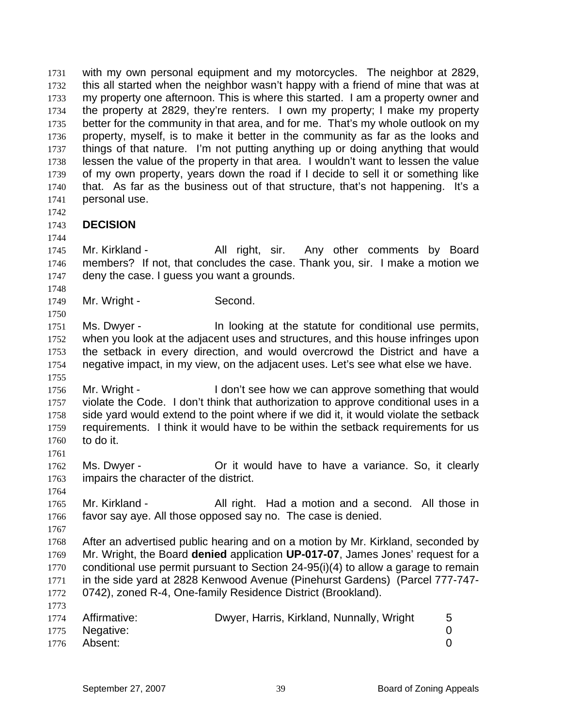1731 1732 1733 1734 1735 1736 1737 1738 1739 1740 1741 with my own personal equipment and my motorcycles. The neighbor at 2829, this all started when the neighbor wasn't happy with a friend of mine that was at my property one afternoon. This is where this started. I am a property owner and the property at 2829, they're renters. I own my property; I make my property better for the community in that area, and for me. That's my whole outlook on my property, myself, is to make it better in the community as far as the looks and things of that nature. I'm not putting anything up or doing anything that would lessen the value of the property in that area. I wouldn't want to lessen the value of my own property, years down the road if I decide to sell it or something like that. As far as the business out of that structure, that's not happening. It's a personal use.

1742

1744

1748

1750

1755

1761

1764

## 1743 **DECISION**

1745 1746 1747 Mr. Kirkland - All right, sir. Any other comments by Board members? If not, that concludes the case. Thank you, sir. I make a motion we deny the case. I guess you want a grounds.

- 1749 Mr. Wright - Second.
- 1751 1752 1753 1754 Ms. Dwyer - In looking at the statute for conditional use permits, when you look at the adjacent uses and structures, and this house infringes upon the setback in every direction, and would overcrowd the District and have a negative impact, in my view, on the adjacent uses. Let's see what else we have.
- 1756 1757 1758 1759 1760 Mr. Wright - The I don't see how we can approve something that would violate the Code. I don't think that authorization to approve conditional uses in a side yard would extend to the point where if we did it, it would violate the setback requirements. I think it would have to be within the setback requirements for us to do it.

1762 1763 Ms. Dwyer - Or it would have to have a variance. So, it clearly impairs the character of the district.

1765 1766 Mr. Kirkland - All right. Had a motion and a second. All those in favor say aye. All those opposed say no. The case is denied.

1767

1773

1768 1769 1770 1771 1772 After an advertised public hearing and on a motion by Mr. Kirkland, seconded by Mr. Wright, the Board **denied** application **UP-017-07**, James Jones' request for a conditional use permit pursuant to Section 24-95(i)(4) to allow a garage to remain in the side yard at 2828 Kenwood Avenue (Pinehurst Gardens) (Parcel 777-747- 0742), zoned R-4, One-family Residence District (Brookland).

| 1774 Affirmative: | Dwyer, Harris, Kirkland, Nunnally, Wright |  |
|-------------------|-------------------------------------------|--|
| 1775 Negative:    |                                           |  |
| 1776 Absent:      |                                           |  |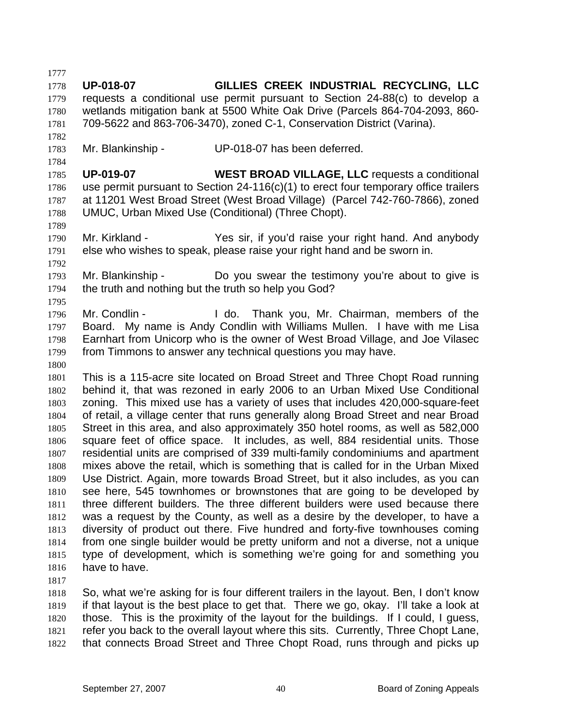1777 1778 1779 1780 1781 1782 1783 1784 1785 1786 1787 1788 1789 1790 1791 1792 1793 1794 1795 1796 1797 1798 1799 1800 1801 1802 1803 1804 1805 1806 1807 1808 1809 1810 1811 1812 1813 1814 1815 1816 1817 1818 1819 1820 **UP-018-07 GILLIES CREEK INDUSTRIAL RECYCLING, LLC**  requests a conditional use permit pursuant to Section 24-88(c) to develop a wetlands mitigation bank at 5500 White Oak Drive (Parcels 864-704-2093, 860- 709-5622 and 863-706-3470), zoned C-1, Conservation District (Varina). Mr. Blankinship - UP-018-07 has been deferred. **UP-019-07 WEST BROAD VILLAGE, LLC** requests a conditional use permit pursuant to Section 24-116(c)(1) to erect four temporary office trailers at 11201 West Broad Street (West Broad Village) (Parcel 742-760-7866), zoned UMUC, Urban Mixed Use (Conditional) (Three Chopt). Mr. Kirkland - Yes sir, if you'd raise your right hand. And anybody else who wishes to speak, please raise your right hand and be sworn in. Mr. Blankinship - Do you swear the testimony you're about to give is the truth and nothing but the truth so help you God? Mr. Condlin - Thank you, Mr. Chairman, members of the Board. My name is Andy Condlin with Williams Mullen. I have with me Lisa Earnhart from Unicorp who is the owner of West Broad Village, and Joe Vilasec from Timmons to answer any technical questions you may have. This is a 115-acre site located on Broad Street and Three Chopt Road running behind it, that was rezoned in early 2006 to an Urban Mixed Use Conditional zoning. This mixed use has a variety of uses that includes 420,000-square-feet of retail, a village center that runs generally along Broad Street and near Broad Street in this area, and also approximately 350 hotel rooms, as well as 582,000 square feet of office space. It includes, as well, 884 residential units. Those residential units are comprised of 339 multi-family condominiums and apartment mixes above the retail, which is something that is called for in the Urban Mixed Use District. Again, more towards Broad Street, but it also includes, as you can see here, 545 townhomes or brownstones that are going to be developed by three different builders. The three different builders were used because there was a request by the County, as well as a desire by the developer, to have a diversity of product out there. Five hundred and forty-five townhouses coming from one single builder would be pretty uniform and not a diverse, not a unique type of development, which is something we're going for and something you have to have. So, what we're asking for is four different trailers in the layout. Ben, I don't know if that layout is the best place to get that. There we go, okay. I'll take a look at those. This is the proximity of the layout for the buildings. If I could, I guess,

1821 1822 refer you back to the overall layout where this sits. Currently, Three Chopt Lane, that connects Broad Street and Three Chopt Road, runs through and picks up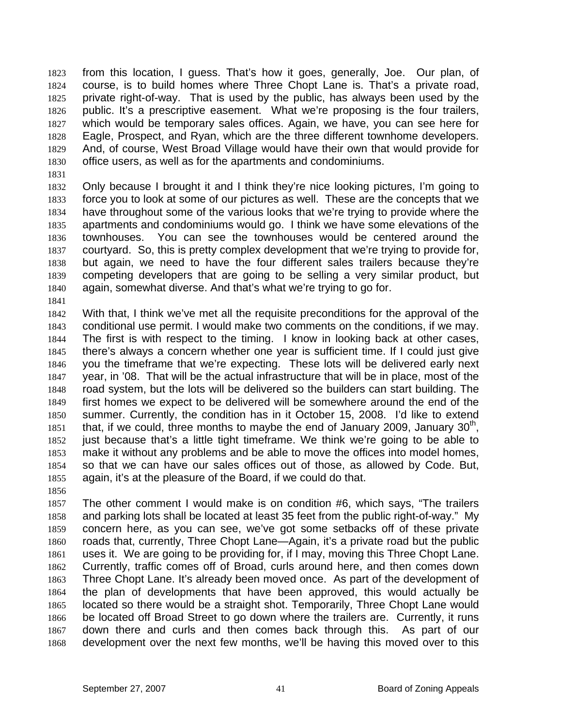1823 1824 1825 1826 1827 1828 1829 1830 from this location, I guess. That's how it goes, generally, Joe. Our plan, of course, is to build homes where Three Chopt Lane is. That's a private road, private right-of-way. That is used by the public, has always been used by the public. It's a prescriptive easement. What we're proposing is the four trailers, which would be temporary sales offices. Again, we have, you can see here for Eagle, Prospect, and Ryan, which are the three different townhome developers. And, of course, West Broad Village would have their own that would provide for office users, as well as for the apartments and condominiums.

1831

1841

1832 1833 1834 1835 1836 1837 1838 1839 1840 Only because I brought it and I think they're nice looking pictures, I'm going to force you to look at some of our pictures as well. These are the concepts that we have throughout some of the various looks that we're trying to provide where the apartments and condominiums would go. I think we have some elevations of the townhouses. You can see the townhouses would be centered around the courtyard. So, this is pretty complex development that we're trying to provide for, but again, we need to have the four different sales trailers because they're competing developers that are going to be selling a very similar product, but again, somewhat diverse. And that's what we're trying to go for.

- 1842 1843 1844 1845 1846 1847 1848 1849 1850 1851 1852 1853 1854 1855 With that, I think we've met all the requisite preconditions for the approval of the conditional use permit. I would make two comments on the conditions, if we may. The first is with respect to the timing. I know in looking back at other cases, there's always a concern whether one year is sufficient time. If I could just give you the timeframe that we're expecting. These lots will be delivered early next year, in '08. That will be the actual infrastructure that will be in place, most of the road system, but the lots will be delivered so the builders can start building. The first homes we expect to be delivered will be somewhere around the end of the summer. Currently, the condition has in it October 15, 2008. I'd like to extend that, if we could, three months to maybe the end of January 2009, January  $30<sup>th</sup>$ , just because that's a little tight timeframe. We think we're going to be able to make it without any problems and be able to move the offices into model homes, so that we can have our sales offices out of those, as allowed by Code. But, again, it's at the pleasure of the Board, if we could do that.
- 1856

1857 1858 1859 1860 1861 1862 1863 1864 1865 1866 1867 1868 The other comment I would make is on condition #6, which says, "The trailers and parking lots shall be located at least 35 feet from the public right-of-way." My concern here, as you can see, we've got some setbacks off of these private roads that, currently, Three Chopt Lane—Again, it's a private road but the public uses it. We are going to be providing for, if I may, moving this Three Chopt Lane. Currently, traffic comes off of Broad, curls around here, and then comes down Three Chopt Lane. It's already been moved once. As part of the development of the plan of developments that have been approved, this would actually be located so there would be a straight shot. Temporarily, Three Chopt Lane would be located off Broad Street to go down where the trailers are. Currently, it runs down there and curls and then comes back through this. As part of our development over the next few months, we'll be having this moved over to this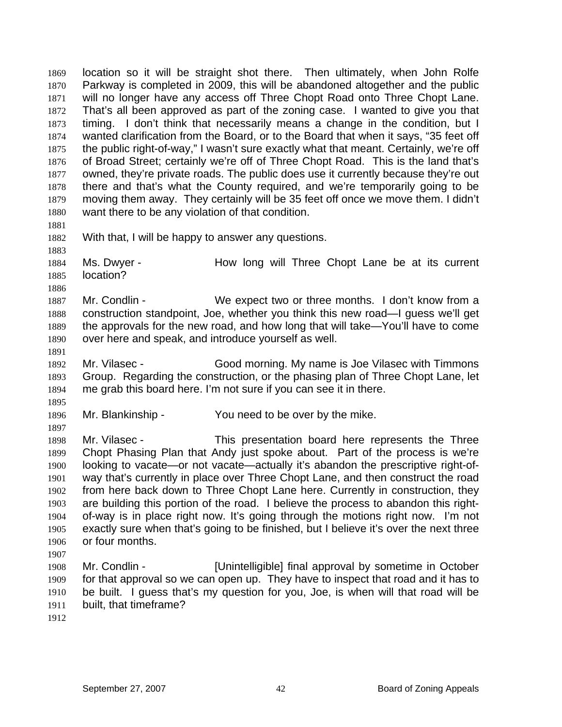1869 1870 1871 1872 1873 1874 1875 1876 1877 1878 1879 1880 1881 1882 location so it will be straight shot there. Then ultimately, when John Rolfe Parkway is completed in 2009, this will be abandoned altogether and the public will no longer have any access off Three Chopt Road onto Three Chopt Lane. That's all been approved as part of the zoning case. I wanted to give you that timing. I don't think that necessarily means a change in the condition, but I wanted clarification from the Board, or to the Board that when it says, "35 feet off the public right-of-way," I wasn't sure exactly what that meant. Certainly, we're off of Broad Street; certainly we're off of Three Chopt Road. This is the land that's owned, they're private roads. The public does use it currently because they're out there and that's what the County required, and we're temporarily going to be moving them away. They certainly will be 35 feet off once we move them. I didn't want there to be any violation of that condition.

1883

1886

1891

With that, I will be happy to answer any questions.

1884 1885 Ms. Dwyer - The How long will Three Chopt Lane be at its current location?

1887 1888 1889 1890 Mr. Condlin - We expect two or three months. I don't know from a construction standpoint, Joe, whether you think this new road—I guess we'll get the approvals for the new road, and how long that will take—You'll have to come over here and speak, and introduce yourself as well.

1892 1893 1894 Mr. Vilasec - Good morning. My name is Joe Vilasec with Timmons Group. Regarding the construction, or the phasing plan of Three Chopt Lane, let me grab this board here. I'm not sure if you can see it in there.

1895 1896 Mr. Blankinship - You need to be over by the mike.

1897 1898 1899 1900 1901 1902 1903 1904 1905 1906 1907 Mr. Vilasec - This presentation board here represents the Three Chopt Phasing Plan that Andy just spoke about. Part of the process is we're looking to vacate—or not vacate—actually it's abandon the prescriptive right-ofway that's currently in place over Three Chopt Lane, and then construct the road from here back down to Three Chopt Lane here. Currently in construction, they are building this portion of the road. I believe the process to abandon this rightof-way is in place right now. It's going through the motions right now. I'm not exactly sure when that's going to be finished, but I believe it's over the next three or four months.

- 1908 1909 1910 1911 Mr. Condlin - [Unintelligible] final approval by sometime in October for that approval so we can open up. They have to inspect that road and it has to be built. I guess that's my question for you, Joe, is when will that road will be built, that timeframe?
- 1912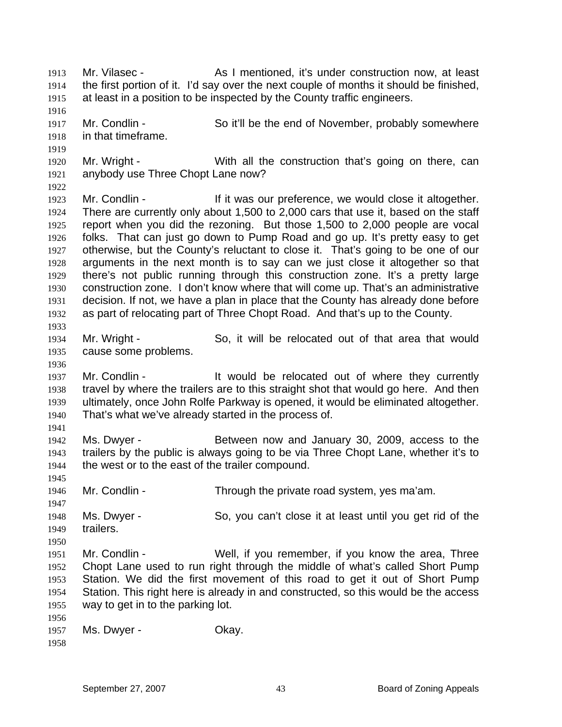1913 1914 1915 1916 1917 1918 1919 1920 1921 1922 1923 1924 1925 1926 1927 1928 1929 1930 1931 1932 1933 1934 1935 1936 1937 1938 1939 1940 1941 1942 1943 1944 1945 1946 1947 1948 1949 1950 1951 1952 1953 1954 1955 1956 1957 1958 Mr. Vilasec - As I mentioned, it's under construction now, at least the first portion of it. I'd say over the next couple of months it should be finished, at least in a position to be inspected by the County traffic engineers. Mr. Condlin - So it'll be the end of November, probably somewhere in that timeframe. Mr. Wright - With all the construction that's going on there, can anybody use Three Chopt Lane now? Mr. Condlin - The Mr it was our preference, we would close it altogether. There are currently only about 1,500 to 2,000 cars that use it, based on the staff report when you did the rezoning. But those 1,500 to 2,000 people are vocal folks. That can just go down to Pump Road and go up. It's pretty easy to get otherwise, but the County's reluctant to close it. That's going to be one of our arguments in the next month is to say can we just close it altogether so that there's not public running through this construction zone. It's a pretty large construction zone. I don't know where that will come up. That's an administrative decision. If not, we have a plan in place that the County has already done before as part of relocating part of Three Chopt Road. And that's up to the County. Mr. Wright - So, it will be relocated out of that area that would cause some problems. Mr. Condlin - The Muslim state of the relocated out of where they currently travel by where the trailers are to this straight shot that would go here. And then ultimately, once John Rolfe Parkway is opened, it would be eliminated altogether. That's what we've already started in the process of. Ms. Dwyer - **Between now and January 30, 2009, access to the** trailers by the public is always going to be via Three Chopt Lane, whether it's to the west or to the east of the trailer compound. Mr. Condlin - Through the private road system, yes ma'am. Ms. Dwyer - So, you can't close it at least until you get rid of the trailers. Mr. Condlin - Well, if you remember, if you know the area, Three Chopt Lane used to run right through the middle of what's called Short Pump Station. We did the first movement of this road to get it out of Short Pump Station. This right here is already in and constructed, so this would be the access way to get in to the parking lot. Ms. Dwyer - Chay.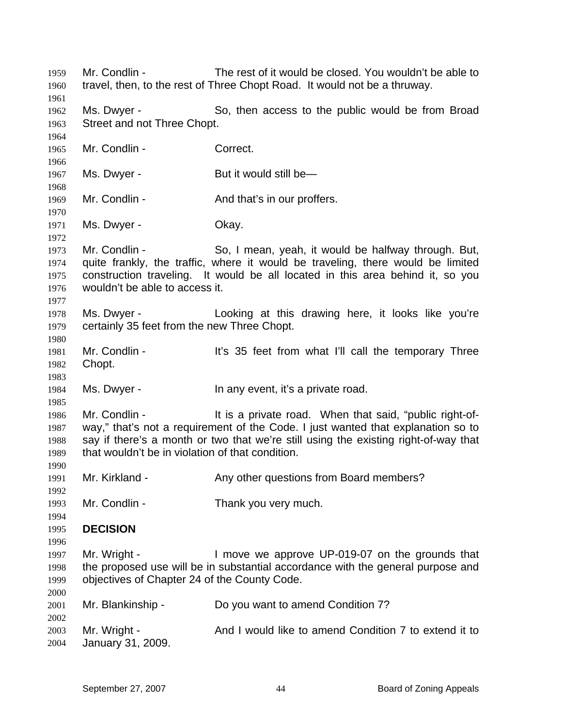1959 1960 1961 1962 1963 1964 1965 1966 1967 1968 1969 1970 1971 1972 1973 1974 1975 1976 1977 1978 1979 1980 1981 1982 1983 1984 1985 1986 1987 1988 1989 1990 1991 1992 1993 1994 1995 1996 1997 1998 1999 2000 2001 2002 2003 2004 Mr. Condlin - The rest of it would be closed. You wouldn't be able to travel, then, to the rest of Three Chopt Road. It would not be a thruway. Ms. Dwyer - So, then access to the public would be from Broad Street and not Three Chopt. Mr. Condlin - Correct. Ms. Dwyer - But it would still be— Mr. Condlin - The And that's in our proffers. Ms. Dwyer - Chay. Mr. Condlin - So, I mean, yeah, it would be halfway through. But, quite frankly, the traffic, where it would be traveling, there would be limited construction traveling. It would be all located in this area behind it, so you wouldn't be able to access it. Ms. Dwyer - Looking at this drawing here, it looks like you're certainly 35 feet from the new Three Chopt. Mr. Condlin - It's 35 feet from what I'll call the temporary Three Chopt. Ms. Dwyer - In any event, it's a private road. Mr. Condlin - It is a private road. When that said, "public right-ofway," that's not a requirement of the Code. I just wanted that explanation so to say if there's a month or two that we're still using the existing right-of-way that that wouldn't be in violation of that condition. Mr. Kirkland - Any other questions from Board members? Mr. Condlin - Thank you very much. **DECISION**  Mr. Wright - I move we approve UP-019-07 on the grounds that the proposed use will be in substantial accordance with the general purpose and objectives of Chapter 24 of the County Code. Mr. Blankinship - Do you want to amend Condition 7? Mr. Wright - And I would like to amend Condition 7 to extend it to January 31, 2009.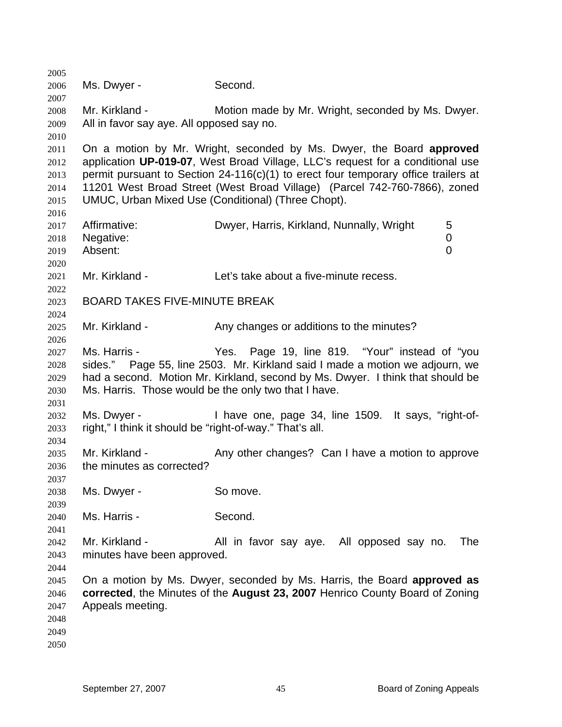Ms. Dwyer - Second. Mr. Kirkland - **Motion made by Mr. Wright, seconded by Ms. Dwyer.** All in favor say aye. All opposed say no. On a motion by Mr. Wright, seconded by Ms. Dwyer, the Board **approved** application **UP-019-07**, West Broad Village, LLC's request for a conditional use permit pursuant to Section 24-116(c)(1) to erect four temporary office trailers at 11201 West Broad Street (West Broad Village) (Parcel 742-760-7866), zoned UMUC, Urban Mixed Use (Conditional) (Three Chopt). Affirmative: **Dwyer, Harris, Kirkland, Nunnally, Wright** 5 Negative: 0 Absent: 0 Mr. Kirkland - Let's take about a five-minute recess. BOARD TAKES FIVE-MINUTE BREAK Mr. Kirkland - The Any changes or additions to the minutes? Ms. Harris - Yes. Page 19, line 819. "Your" instead of "you sides." Page 55, line 2503. Mr. Kirkland said I made a motion we adjourn, we had a second. Motion Mr. Kirkland, second by Ms. Dwyer. I think that should be Ms. Harris. Those would be the only two that I have. Ms. Dwyer - Thave one, page 34, line 1509. It says, "right-ofright," I think it should be "right-of-way." That's all. Mr. Kirkland - Any other changes? Can I have a motion to approve the minutes as corrected? Ms. Dwyer - So move. Ms. Harris - Second. Mr. Kirkland - The All in favor say aye. All opposed say no. The minutes have been approved. On a motion by Ms. Dwyer, seconded by Ms. Harris, the Board **approved as corrected**, the Minutes of the **August 23, 2007** Henrico County Board of Zoning Appeals meeting.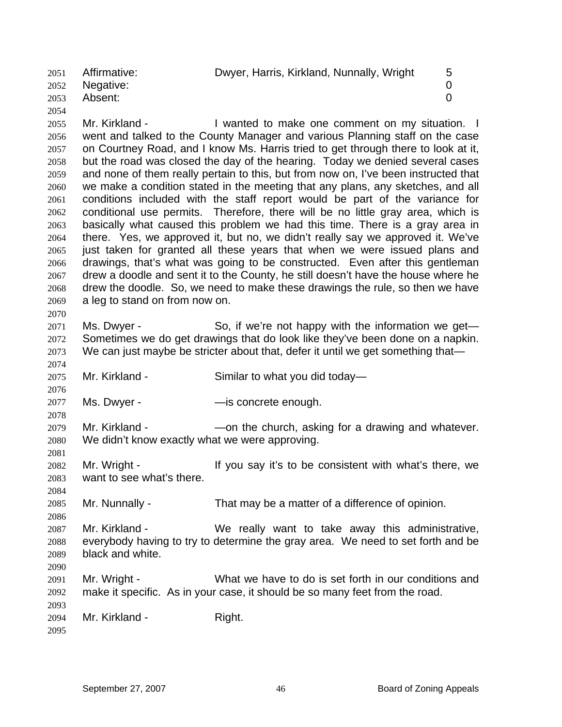2051 2052 2053 2054 Affirmative: Dwyer, Harris, Kirkland, Nunnally, Wright 5 Negative: 0 Absent: 0

2055 2056 2057 2058 2059 2060 2061 2062 2063 2064 2065 2066 2067 2068 2069 2070 Mr. Kirkland - The State of the Make one comment on my situation. I went and talked to the County Manager and various Planning staff on the case on Courtney Road, and I know Ms. Harris tried to get through there to look at it, but the road was closed the day of the hearing. Today we denied several cases and none of them really pertain to this, but from now on, I've been instructed that we make a condition stated in the meeting that any plans, any sketches, and all conditions included with the staff report would be part of the variance for conditional use permits. Therefore, there will be no little gray area, which is basically what caused this problem we had this time. There is a gray area in there. Yes, we approved it, but no, we didn't really say we approved it. We've just taken for granted all these years that when we were issued plans and drawings, that's what was going to be constructed. Even after this gentleman drew a doodle and sent it to the County, he still doesn't have the house where he drew the doodle. So, we need to make these drawings the rule, so then we have a leg to stand on from now on.

2071 2072 2073 Ms. Dwyer - So, if we're not happy with the information we get— Sometimes we do get drawings that do look like they've been done on a napkin. We can just maybe be stricter about that, defer it until we get something that—

2075 Mr. Kirkland - Similar to what you did today—

2077 Ms. Dwyer - The Supersyte Concrete enough.

2079 2080 Mr. Kirkland - — — — — on the church, asking for a drawing and whatever. We didn't know exactly what we were approving.

2082 2083 Mr. Wright - The Mexicon of the vous avit's to be consistent with what's there, we want to see what's there.

2085 Mr. Nunnally - That may be a matter of a difference of opinion.

2087 2088 2089 2090 Mr. Kirkland - We really want to take away this administrative, everybody having to try to determine the gray area. We need to set forth and be black and white.

2091 2092 Mr. Wright - What we have to do is set forth in our conditions and make it specific. As in your case, it should be so many feet from the road.

2094 Mr. Kirkland - Right.

2095

2093

2074

2076

2078

2081

2084

2086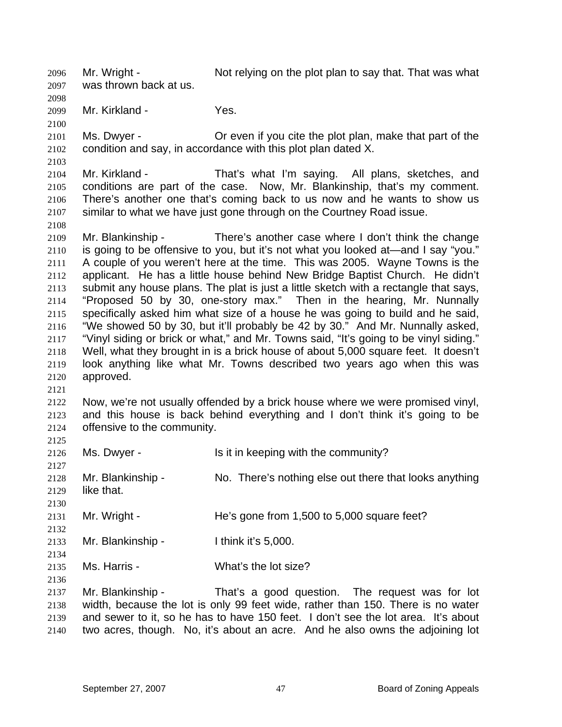2096 2097 Mr. Wright - Not relying on the plot plan to say that. That was what was thrown back at us.

2099 Mr. Kirkland - Yes.

2100

2103

2108

2121

2132

2134

2136

2098

2101 2102 Ms. Dwyer - **Or** even if you cite the plot plan, make that part of the condition and say, in accordance with this plot plan dated X.

2104 2105 2106 2107 Mr. Kirkland - That's what I'm saying. All plans, sketches, and conditions are part of the case. Now, Mr. Blankinship, that's my comment. There's another one that's coming back to us now and he wants to show us similar to what we have just gone through on the Courtney Road issue.

2109 2110 2111 2112 2113 2114 2115 2116 2117 2118 2119 2120 Mr. Blankinship - There's another case where I don't think the change is going to be offensive to you, but it's not what you looked at—and I say "you." A couple of you weren't here at the time. This was 2005. Wayne Towns is the applicant. He has a little house behind New Bridge Baptist Church. He didn't submit any house plans. The plat is just a little sketch with a rectangle that says, "Proposed 50 by 30, one-story max." Then in the hearing, Mr. Nunnally specifically asked him what size of a house he was going to build and he said, "We showed 50 by 30, but it'll probably be 42 by 30." And Mr. Nunnally asked, "Vinyl siding or brick or what," and Mr. Towns said, "It's going to be vinyl siding." Well, what they brought in is a brick house of about 5,000 square feet. It doesn't look anything like what Mr. Towns described two years ago when this was approved.

2122 2123 2124 2125 Now, we're not usually offended by a brick house where we were promised vinyl, and this house is back behind everything and I don't think it's going to be offensive to the community.

2126 2127 2128 Ms. Dwyer - Is it in keeping with the community? Mr. Blankinship - No. There's nothing else out there that looks anything

2129 2130 like that.

2131 Mr. Wright - He's gone from 1,500 to 5,000 square feet?

2133 Mr. Blankinship - I think it's 5,000.

2135 Ms. Harris - What's the lot size?

2137 2138 2139 2140 Mr. Blankinship - That's a good question. The request was for lot width, because the lot is only 99 feet wide, rather than 150. There is no water and sewer to it, so he has to have 150 feet. I don't see the lot area. It's about two acres, though. No, it's about an acre. And he also owns the adjoining lot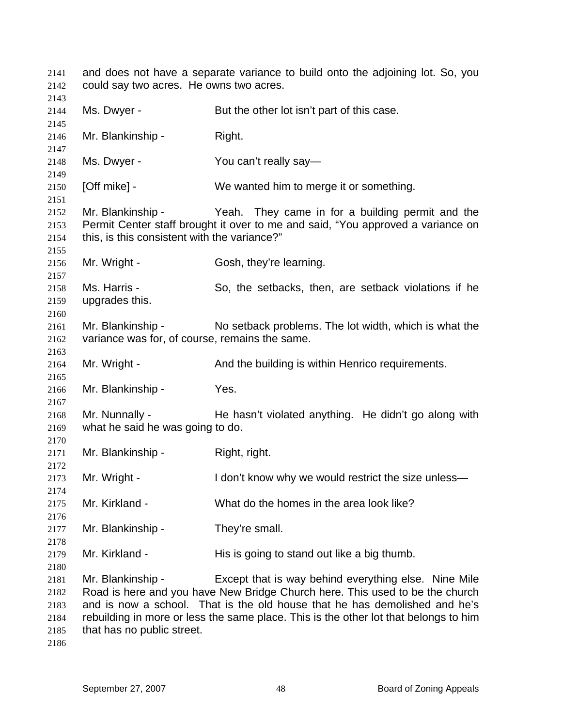and does not have a separate variance to build onto the adjoining lot. So, you could say two acres. He owns two acres. Ms. Dwyer - But the other lot isn't part of this case. Mr. Blankinship - Right. Ms. Dwyer - You can't really say— [Off mike] - We wanted him to merge it or something. Mr. Blankinship - Yeah. They came in for a building permit and the Permit Center staff brought it over to me and said, "You approved a variance on this, is this consistent with the variance?" Mr. Wright - Gosh, they're learning. Ms. Harris - So, the setbacks, then, are setback violations if he upgrades this. Mr. Blankinship - No setback problems. The lot width, which is what the variance was for, of course, remains the same. Mr. Wright - The And the building is within Henrico requirements. Mr. Blankinship - Yes. Mr. Nunnally - He hasn't violated anything. He didn't go along with what he said he was going to do. Mr. Blankinship - Right, right. Mr. Wright - I don't know why we would restrict the size unless— Mr. Kirkland - What do the homes in the area look like? Mr. Blankinship - They're small. Mr. Kirkland - His is going to stand out like a big thumb. Mr. Blankinship - Except that is way behind everything else. Nine Mile Road is here and you have New Bridge Church here. This used to be the church and is now a school. That is the old house that he has demolished and he's rebuilding in more or less the same place. This is the other lot that belongs to him that has no public street.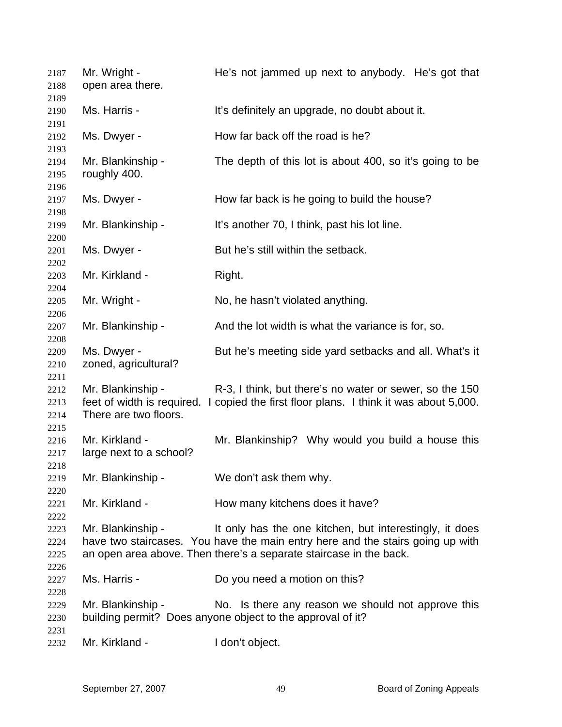| 2187<br>2188                 | Mr. Wright -<br>open area there.                                         | He's not jammed up next to anybody. He's got that                                                                                                                                                               |
|------------------------------|--------------------------------------------------------------------------|-----------------------------------------------------------------------------------------------------------------------------------------------------------------------------------------------------------------|
| 2189<br>2190<br>2191         | Ms. Harris -                                                             | It's definitely an upgrade, no doubt about it.                                                                                                                                                                  |
| 2192<br>2193                 | Ms. Dwyer -                                                              | How far back off the road is he?                                                                                                                                                                                |
| 2194<br>2195<br>2196         | Mr. Blankinship -<br>roughly 400.                                        | The depth of this lot is about 400, so it's going to be                                                                                                                                                         |
| 2197<br>2198                 | Ms. Dwyer -                                                              | How far back is he going to build the house?                                                                                                                                                                    |
| 2199<br>2200                 | Mr. Blankinship -                                                        | It's another 70, I think, past his lot line.                                                                                                                                                                    |
| 2201<br>2202                 | Ms. Dwyer -                                                              | But he's still within the setback.                                                                                                                                                                              |
| 2203<br>2204                 | Mr. Kirkland -                                                           | Right.                                                                                                                                                                                                          |
| 2205<br>2206                 | Mr. Wright -                                                             | No, he hasn't violated anything.                                                                                                                                                                                |
| 2207<br>2208                 | Mr. Blankinship -                                                        | And the lot width is what the variance is for, so.                                                                                                                                                              |
| 2209<br>2210<br>2211         | Ms. Dwyer -<br>zoned, agricultural?                                      | But he's meeting side yard setbacks and all. What's it                                                                                                                                                          |
| 2212<br>2213<br>2214<br>2215 | Mr. Blankinship -<br>feet of width is required.<br>There are two floors. | R-3, I think, but there's no water or sewer, so the 150<br>I copied the first floor plans. I think it was about 5,000.                                                                                          |
| 2216<br>2217<br>2218         | Mr. Kirkland -<br>large next to a school?                                | Mr. Blankinship? Why would you build a house this                                                                                                                                                               |
| 2219<br>2220                 | Mr. Blankinship -                                                        | We don't ask them why.                                                                                                                                                                                          |
| 2221<br>2222                 | Mr. Kirkland -                                                           | How many kitchens does it have?                                                                                                                                                                                 |
| 2223<br>2224<br>2225         | Mr. Blankinship -                                                        | It only has the one kitchen, but interestingly, it does<br>have two staircases. You have the main entry here and the stairs going up with<br>an open area above. Then there's a separate staircase in the back. |
| 2226<br>2227<br>2228         | Ms. Harris -                                                             | Do you need a motion on this?                                                                                                                                                                                   |
| 2229<br>2230<br>2231         | Mr. Blankinship -                                                        | No. Is there any reason we should not approve this<br>building permit? Does anyone object to the approval of it?                                                                                                |
| 2232                         | Mr. Kirkland -                                                           | I don't object.                                                                                                                                                                                                 |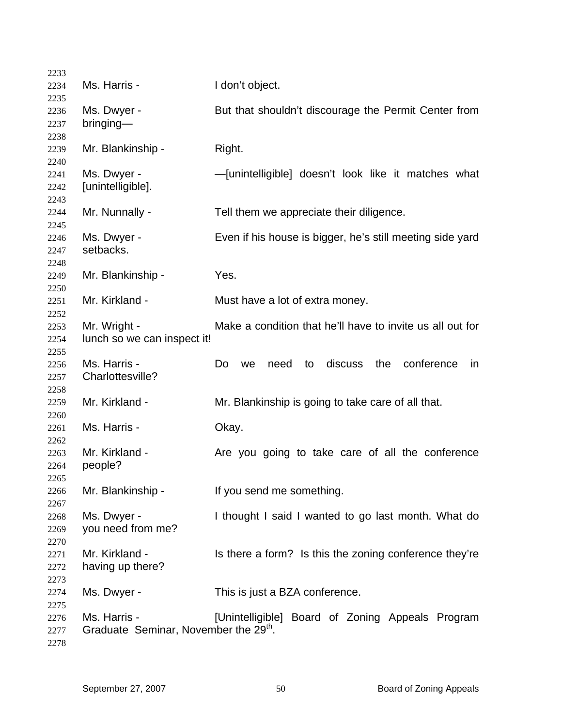| 2233         |                                                   |                                                              |
|--------------|---------------------------------------------------|--------------------------------------------------------------|
| 2234         | Ms. Harris -                                      | I don't object.                                              |
| 2235         |                                                   |                                                              |
| 2236         | Ms. Dwyer -                                       | But that shouldn't discourage the Permit Center from         |
| 2237         | bringing-                                         |                                                              |
| 2238         |                                                   |                                                              |
| 2239         | Mr. Blankinship -                                 | Right.                                                       |
| 2240<br>2241 | Ms. Dwyer -                                       | -[unintelligible] doesn't look like it matches what          |
| 2242         | [unintelligible].                                 |                                                              |
| 2243         |                                                   |                                                              |
| 2244         | Mr. Nunnally -                                    | Tell them we appreciate their diligence.                     |
| 2245         |                                                   |                                                              |
| 2246         | Ms. Dwyer -                                       | Even if his house is bigger, he's still meeting side yard    |
| 2247         | setbacks.                                         |                                                              |
| 2248         |                                                   |                                                              |
| 2249         | Mr. Blankinship -                                 | Yes.                                                         |
| 2250         |                                                   |                                                              |
| 2251         | Mr. Kirkland -                                    | Must have a lot of extra money.                              |
| 2252         |                                                   |                                                              |
| 2253         | Mr. Wright -                                      | Make a condition that he'll have to invite us all out for    |
| 2254         | lunch so we can inspect it!                       |                                                              |
| 2255         |                                                   |                                                              |
| 2256         | Ms. Harris -                                      | discuss<br>the<br>conference<br>Do<br>need<br>in<br>to<br>we |
| 2257         | Charlottesville?                                  |                                                              |
| 2258         |                                                   |                                                              |
| 2259         | Mr. Kirkland -                                    | Mr. Blankinship is going to take care of all that.           |
| 2260         | Ms. Harris -                                      |                                                              |
| 2261         |                                                   | Okay.                                                        |
| 2262<br>2263 | Mr. Kirkland -                                    | Are you going to take care of all the conference             |
| 2264         | people?                                           |                                                              |
| 2265         |                                                   |                                                              |
| 2266         | Mr. Blankinship -                                 | If you send me something.                                    |
| 2267         |                                                   |                                                              |
| 2268         | Ms. Dwyer -                                       | I thought I said I wanted to go last month. What do          |
| 2269         | you need from me?                                 |                                                              |
| 2270         |                                                   |                                                              |
| 2271         | Mr. Kirkland -                                    | Is there a form? Is this the zoning conference they're       |
| 2272         | having up there?                                  |                                                              |
| 2273         |                                                   |                                                              |
| 2274         | Ms. Dwyer -                                       | This is just a BZA conference.                               |
| 2275         |                                                   |                                                              |
| 2276         | Ms. Harris -                                      | [Unintelligible] Board of Zoning Appeals Program             |
| 2277         | Graduate Seminar, November the 29 <sup>th</sup> . |                                                              |
| 2278         |                                                   |                                                              |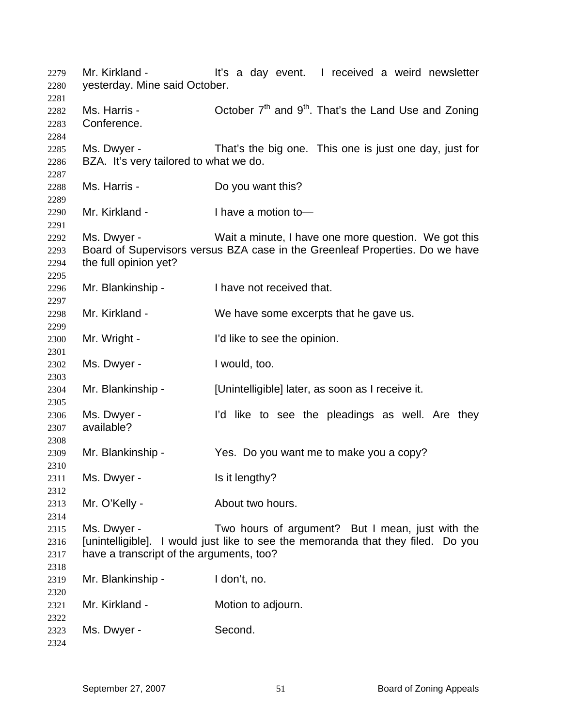Mr. Kirkland - The It's a day event. I received a weird newsletter yesterday. Mine said October. Ms. Harris - Corober  $7<sup>th</sup>$  and  $9<sup>th</sup>$ . That's the Land Use and Zoning Conference. Ms. Dwyer - That's the big one. This one is just one day, just for BZA. It's very tailored to what we do. Ms. Harris - **Do you want this?** Mr. Kirkland - I have a motion to-Ms. Dwyer - Wait a minute, I have one more question. We got this Board of Supervisors versus BZA case in the Greenleaf Properties. Do we have the full opinion yet? Mr. Blankinship - I have not received that. Mr. Kirkland - We have some excerpts that he gave us. Mr. Wright - I'd like to see the opinion. Ms. Dwyer - Twould, too. Mr. Blankinship - [Unintelligible] later, as soon as I receive it. Ms. Dwyer - The I'd like to see the pleadings as well. Are they available? Mr. Blankinship - Yes. Do you want me to make you a copy? Ms. Dwyer - Is it lengthy? Mr. O'Kelly - About two hours. Ms. Dwyer - Two hours of argument? But I mean, just with the [unintelligible]. I would just like to see the memoranda that they filed. Do you have a transcript of the arguments, too? Mr. Blankinship - I don't, no. Mr. Kirkland - **Motion to adjourn.** Ms. Dwyer - Second.